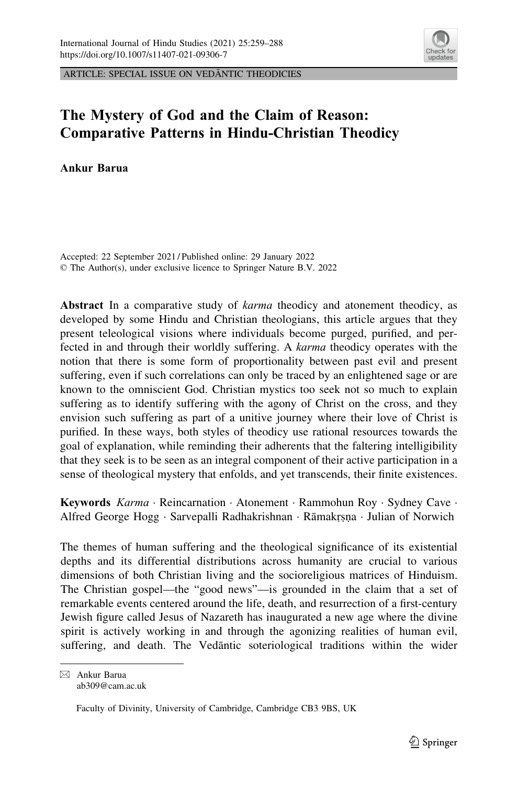

ARTICLE: SPECIAL ISSUE ON VEDANTIC THEODICIES

# The Mystery of God and the Claim of Reason: Comparative Patterns in Hindu-Christian Theodicy

Ankur Barua

Accepted: 22 September 2021 / Published online: 29 January 2022 © The Author(s), under exclusive licence to Springer Nature B.V. 2022

Abstract In a comparative study of *karma* theodicy and atonement theodicy, as developed by some Hindu and Christian theologians, this article argues that they present teleological visions where individuals become purged, purified, and perfected in and through their worldly suffering. A karma theodicy operates with the notion that there is some form of proportionality between past evil and present suffering, even if such correlations can only be traced by an enlightened sage or are known to the omniscient God. Christian mystics too seek not so much to explain suffering as to identify suffering with the agony of Christ on the cross, and they envision such suffering as part of a unitive journey where their love of Christ is purified. In these ways, both styles of theodicy use rational resources towards the goal of explanation, while reminding their adherents that the faltering intelligibility that they seek is to be seen as an integral component of their active participation in a sense of theological mystery that enfolds, and yet transcends, their finite existences.

Keywords Karma · Reincarnation · Atonement · Rammohun Roy · Sydney Cave · Alfred George Hogg · Sarvepalli Radhakrishnan · Rāmakrṣṇa · Julian of Norwich

The themes of human suffering and the theological significance of its existential depths and its differential distributions across humanity are crucial to various dimensions of both Christian living and the socioreligious matrices of Hinduism. The Christian gospel—the "good news"—is grounded in the claim that a set of remarkable events centered around the life, death, and resurrection of a first-century Jewish figure called Jesus of Nazareth has inaugurated a new age where the divine spirit is actively working in and through the agonizing realities of human evil, suffering, and death. The Vedantic soteriological traditions within the wider

 $\boxtimes$  Ankur Barua ab309@cam.ac.uk

Faculty of Divinity, University of Cambridge, Cambridge CB3 9BS, UK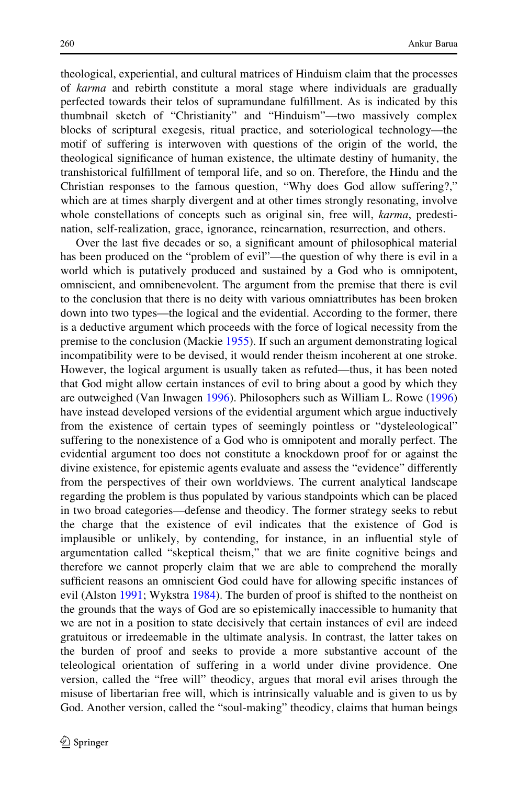theological, experiential, and cultural matrices of Hinduism claim that the processes of karma and rebirth constitute a moral stage where individuals are gradually perfected towards their telos of supramundane fulfillment. As is indicated by this thumbnail sketch of "Christianity" and "Hinduism"—two massively complex blocks of scriptural exegesis, ritual practice, and soteriological technology—the motif of suffering is interwoven with questions of the origin of the world, the theological significance of human existence, the ultimate destiny of humanity, the transhistorical fulfillment of temporal life, and so on. Therefore, the Hindu and the Christian responses to the famous question, "Why does God allow suffering?," which are at times sharply divergent and at other times strongly resonating, involve whole constellations of concepts such as original sin, free will, *karma*, predestination, self-realization, grace, ignorance, reincarnation, resurrection, and others.

Over the last five decades or so, a significant amount of philosophical material has been produced on the "problem of evil"—the question of why there is evil in a world which is putatively produced and sustained by a God who is omnipotent, omniscient, and omnibenevolent. The argument from the premise that there is evil to the conclusion that there is no deity with various omniattributes has been broken down into two types—the logical and the evidential. According to the former, there is a deductive argument which proceeds with the force of logical necessity from the premise to the conclusion (Mackie [1955\)](#page-28-0). If such an argument demonstrating logical incompatibility were to be devised, it would render theism incoherent at one stroke. However, the logical argument is usually taken as refuted—thus, it has been noted that God might allow certain instances of evil to bring about a good by which they are outweighed (Van Inwagen [1996\)](#page-29-0). Philosophers such as William L. Rowe [\(1996](#page-29-0)) have instead developed versions of the evidential argument which argue inductively from the existence of certain types of seemingly pointless or "dysteleological" suffering to the nonexistence of a God who is omnipotent and morally perfect. The evidential argument too does not constitute a knockdown proof for or against the divine existence, for epistemic agents evaluate and assess the "evidence" differently from the perspectives of their own worldviews. The current analytical landscape regarding the problem is thus populated by various standpoints which can be placed in two broad categories—defense and theodicy. The former strategy seeks to rebut the charge that the existence of evil indicates that the existence of God is implausible or unlikely, by contending, for instance, in an influential style of argumentation called "skeptical theism," that we are finite cognitive beings and therefore we cannot properly claim that we are able to comprehend the morally sufficient reasons an omniscient God could have for allowing specific instances of evil (Alston [1991](#page-27-0); Wykstra [1984](#page-29-0)). The burden of proof is shifted to the nontheist on the grounds that the ways of God are so epistemically inaccessible to humanity that we are not in a position to state decisively that certain instances of evil are indeed gratuitous or irredeemable in the ultimate analysis. In contrast, the latter takes on the burden of proof and seeks to provide a more substantive account of the teleological orientation of suffering in a world under divine providence. One version, called the "free will" theodicy, argues that moral evil arises through the misuse of libertarian free will, which is intrinsically valuable and is given to us by God. Another version, called the "soul-making" theodicy, claims that human beings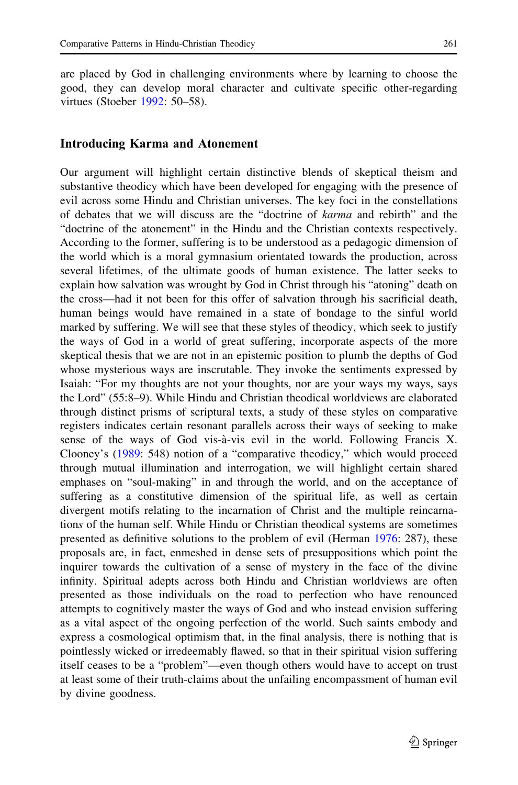are placed by God in challenging environments where by learning to choose the good, they can develop moral character and cultivate specific other-regarding virtues (Stoeber [1992](#page-29-0): 50–58).

#### Introducing Karma and Atonement

Our argument will highlight certain distinctive blends of skeptical theism and substantive theodicy which have been developed for engaging with the presence of evil across some Hindu and Christian universes. The key foci in the constellations of debates that we will discuss are the "doctrine of karma and rebirth" and the "doctrine of the atonement" in the Hindu and the Christian contexts respectively. According to the former, suffering is to be understood as a pedagogic dimension of the world which is a moral gymnasium orientated towards the production, across several lifetimes, of the ultimate goods of human existence. The latter seeks to explain how salvation was wrought by God in Christ through his "atoning" death on the cross—had it not been for this offer of salvation through his sacrificial death, human beings would have remained in a state of bondage to the sinful world marked by suffering. We will see that these styles of theodicy, which seek to justify the ways of God in a world of great suffering, incorporate aspects of the more skeptical thesis that we are not in an epistemic position to plumb the depths of God whose mysterious ways are inscrutable. They invoke the sentiments expressed by Isaiah: "For my thoughts are not your thoughts, nor are your ways my ways, says the Lord" (55:8–9). While Hindu and Christian theodical worldviews are elaborated through distinct prisms of scriptural texts, a study of these styles on comparative registers indicates certain resonant parallels across their ways of seeking to make sense of the ways of God vis-à-vis evil in the world. Following Francis X. Clooney's [\(1989](#page-27-0): 548) notion of a "comparative theodicy," which would proceed through mutual illumination and interrogation, we will highlight certain shared emphases on "soul-making" in and through the world, and on the acceptance of suffering as a constitutive dimension of the spiritual life, as well as certain divergent motifs relating to the incarnation of Christ and the multiple reincarnations of the human self. While Hindu or Christian theodical systems are sometimes presented as definitive solutions to the problem of evil (Herman [1976](#page-28-0): 287), these proposals are, in fact, enmeshed in dense sets of presuppositions which point the inquirer towards the cultivation of a sense of mystery in the face of the divine infinity. Spiritual adepts across both Hindu and Christian worldviews are often presented as those individuals on the road to perfection who have renounced attempts to cognitively master the ways of God and who instead envision suffering as a vital aspect of the ongoing perfection of the world. Such saints embody and express a cosmological optimism that, in the final analysis, there is nothing that is pointlessly wicked or irredeemably flawed, so that in their spiritual vision suffering itself ceases to be a "problem"—even though others would have to accept on trust at least some of their truth-claims about the unfailing encompassment of human evil by divine goodness.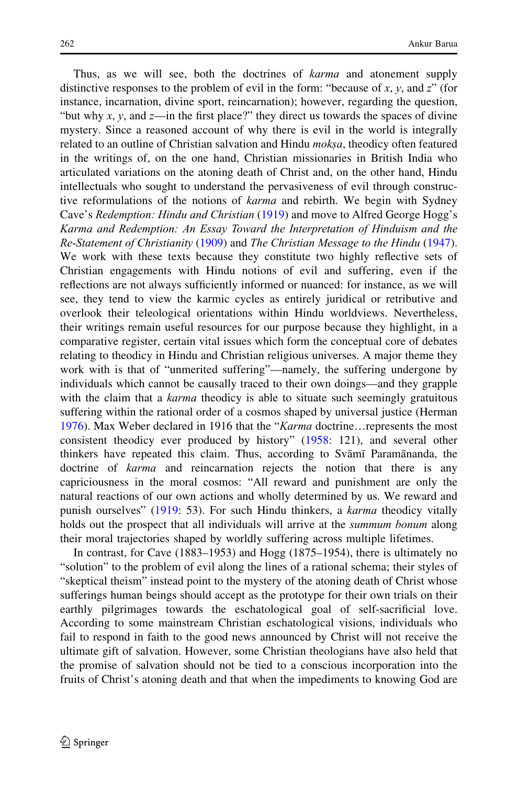Thus, as we will see, both the doctrines of *karma* and atonement supply distinctive responses to the problem of evil in the form: "because of  $x$ ,  $y$ , and  $z$ " (for instance, incarnation, divine sport, reincarnation); however, regarding the question, "but why x, y, and  $z$ —in the first place?" they direct us towards the spaces of divine mystery. Since a reasoned account of why there is evil in the world is integrally related to an outline of Christian salvation and Hindu *moksa*, theodicy often featured in the writings of, on the one hand, Christian missionaries in British India who articulated variations on the atoning death of Christ and, on the other hand, Hindu intellectuals who sought to understand the pervasiveness of evil through constructive reformulations of the notions of *karma* and rebirth. We begin with Sydney Cave's Redemption: Hindu and Christian ([1919\)](#page-27-0) and move to Alfred George Hogg's Karma and Redemption: An Essay Toward the Interpretation of Hinduism and the Re-Statement of Christianity ([1909](#page-28-0)) and The Christian Message to the Hindu ([1947\)](#page-28-0). We work with these texts because they constitute two highly reflective sets of Christian engagements with Hindu notions of evil and suffering, even if the reflections are not always sufficiently informed or nuanced: for instance, as we will see, they tend to view the karmic cycles as entirely juridical or retributive and overlook their teleological orientations within Hindu worldviews. Nevertheless, their writings remain useful resources for our purpose because they highlight, in a comparative register, certain vital issues which form the conceptual core of debates relating to theodicy in Hindu and Christian religious universes. A major theme they work with is that of "unmerited suffering"—namely, the suffering undergone by individuals which cannot be causally traced to their own doings—and they grapple with the claim that a karma theodicy is able to situate such seemingly gratuitous suffering within the rational order of a cosmos shaped by universal justice (Herman [1976\)](#page-28-0). Max Weber declared in 1916 that the "Karma doctrine…represents the most consistent theodicy ever produced by history" [\(1958](#page-29-0): 121), and several other thinkers have repeated this claim. Thus, according to Svami Paramananda, the doctrine of *karma* and reincarnation rejects the notion that there is any capriciousness in the moral cosmos: "All reward and punishment are only the natural reactions of our own actions and wholly determined by us. We reward and punish ourselves" [\(1919](#page-28-0): 53). For such Hindu thinkers, a *karma* theodicy vitally holds out the prospect that all individuals will arrive at the *summum bonum* along their moral trajectories shaped by worldly suffering across multiple lifetimes.

In contrast, for Cave (1883–1953) and Hogg (1875–1954), there is ultimately no "solution" to the problem of evil along the lines of a rational schema; their styles of "skeptical theism" instead point to the mystery of the atoning death of Christ whose sufferings human beings should accept as the prototype for their own trials on their earthly pilgrimages towards the eschatological goal of self-sacrificial love. According to some mainstream Christian eschatological visions, individuals who fail to respond in faith to the good news announced by Christ will not receive the ultimate gift of salvation. However, some Christian theologians have also held that the promise of salvation should not be tied to a conscious incorporation into the fruits of Christ's atoning death and that when the impediments to knowing God are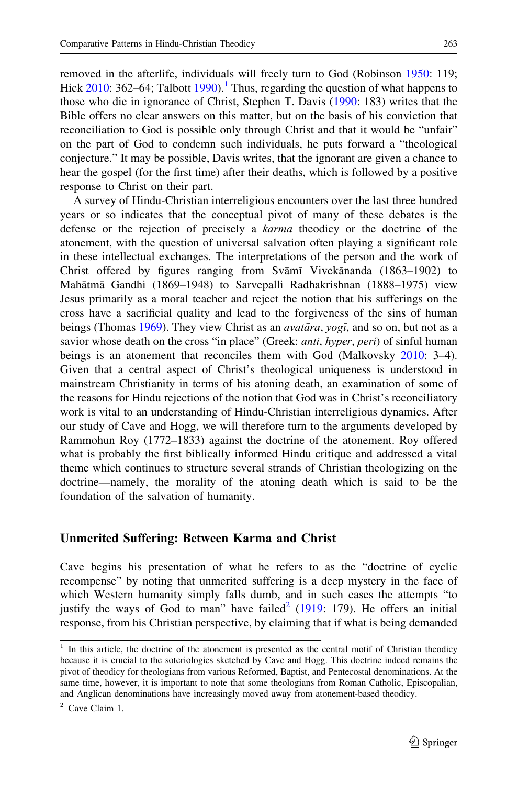removed in the afterlife, individuals will freely turn to God (Robinson [1950](#page-29-0): 119; Hick  $2010$ : 362–64; Talbott [1990](#page-29-0)).<sup>1</sup> Thus, regarding the question of what happens to those who die in ignorance of Christ, Stephen T. Davis ([1990:](#page-27-0) 183) writes that the Bible offers no clear answers on this matter, but on the basis of his conviction that reconciliation to God is possible only through Christ and that it would be "unfair" on the part of God to condemn such individuals, he puts forward a "theological conjecture." It may be possible, Davis writes, that the ignorant are given a chance to hear the gospel (for the first time) after their deaths, which is followed by a positive response to Christ on their part.

A survey of Hindu-Christian interreligious encounters over the last three hundred years or so indicates that the conceptual pivot of many of these debates is the defense or the rejection of precisely a karma theodicy or the doctrine of the atonement, with the question of universal salvation often playing a significant role in these intellectual exchanges. The interpretations of the person and the work of Christ offered by figures ranging from Svāmī Vivekānanda (1863-1902) to Mahātmā Gandhi (1869–1948) to Sarvepalli Radhakrishnan (1888–1975) view Jesus primarily as a moral teacher and reject the notion that his sufferings on the cross have a sacrificial quality and lead to the forgiveness of the sins of human beings (Thomas [1969\)](#page-29-0). They view Christ as an *avatāra*, yogī, and so on, but not as a savior whose death on the cross "in place" (Greek: *anti, hyper, peri*) of sinful human beings is an atonement that reconciles them with God (Malkovsky [2010](#page-28-0): 3–4). Given that a central aspect of Christ's theological uniqueness is understood in mainstream Christianity in terms of his atoning death, an examination of some of the reasons for Hindu rejections of the notion that God was in Christ's reconciliatory work is vital to an understanding of Hindu-Christian interreligious dynamics. After our study of Cave and Hogg, we will therefore turn to the arguments developed by Rammohun Roy (1772–1833) against the doctrine of the atonement. Roy offered what is probably the first biblically informed Hindu critique and addressed a vital theme which continues to structure several strands of Christian theologizing on the doctrine—namely, the morality of the atoning death which is said to be the foundation of the salvation of humanity.

#### Unmerited Suffering: Between Karma and Christ

Cave begins his presentation of what he refers to as the "doctrine of cyclic recompense" by noting that unmerited suffering is a deep mystery in the face of which Western humanity simply falls dumb, and in such cases the attempts "to justify the ways of God to man" have failed<sup>2</sup> [\(1919](#page-27-0): 179). He offers an initial response, from his Christian perspective, by claiming that if what is being demanded

<sup>&</sup>lt;sup>1</sup> In this article, the doctrine of the atonement is presented as the central motif of Christian theodicy because it is crucial to the soteriologies sketched by Cave and Hogg. This doctrine indeed remains the pivot of theodicy for theologians from various Reformed, Baptist, and Pentecostal denominations. At the same time, however, it is important to note that some theologians from Roman Catholic, Episcopalian, and Anglican denominations have increasingly moved away from atonement-based theodicy.

 $2$  Cave Claim 1.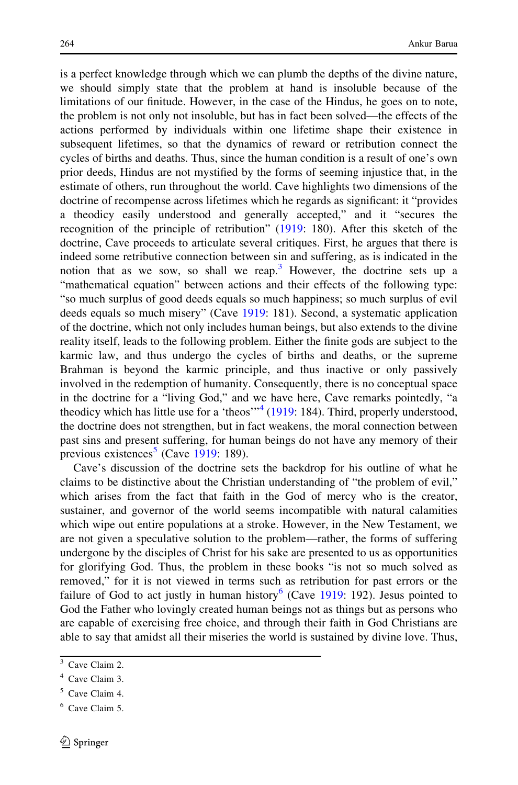is a perfect knowledge through which we can plumb the depths of the divine nature, we should simply state that the problem at hand is insoluble because of the limitations of our finitude. However, in the case of the Hindus, he goes on to note, the problem is not only not insoluble, but has in fact been solved—the effects of the actions performed by individuals within one lifetime shape their existence in subsequent lifetimes, so that the dynamics of reward or retribution connect the cycles of births and deaths. Thus, since the human condition is a result of one's own prior deeds, Hindus are not mystified by the forms of seeming injustice that, in the estimate of others, run throughout the world. Cave highlights two dimensions of the doctrine of recompense across lifetimes which he regards as significant: it "provides a theodicy easily understood and generally accepted," and it "secures the recognition of the principle of retribution" [\(1919](#page-27-0): 180). After this sketch of the doctrine, Cave proceeds to articulate several critiques. First, he argues that there is indeed some retributive connection between sin and suffering, as is indicated in the notion that as we sow, so shall we reap.<sup>3</sup> However, the doctrine sets up a "mathematical equation" between actions and their effects of the following type: "so much surplus of good deeds equals so much happiness; so much surplus of evil deeds equals so much misery" (Cave [1919](#page-27-0): 181). Second, a systematic application of the doctrine, which not only includes human beings, but also extends to the divine reality itself, leads to the following problem. Either the finite gods are subject to the karmic law, and thus undergo the cycles of births and deaths, or the supreme Brahman is beyond the karmic principle, and thus inactive or only passively involved in the redemption of humanity. Consequently, there is no conceptual space in the doctrine for a "living God," and we have here, Cave remarks pointedly, "a theodicy which has little use for a 'theos'<sup> $n<sup>4</sup>$ </sup> ([1919:](#page-27-0) 184). Third, properly understood, the doctrine does not strengthen, but in fact weakens, the moral connection between past sins and present suffering, for human beings do not have any memory of their previous existences<sup>5</sup> (Cave [1919](#page-27-0): 189).

Cave's discussion of the doctrine sets the backdrop for his outline of what he claims to be distinctive about the Christian understanding of "the problem of evil," which arises from the fact that faith in the God of mercy who is the creator, sustainer, and governor of the world seems incompatible with natural calamities which wipe out entire populations at a stroke. However, in the New Testament, we are not given a speculative solution to the problem—rather, the forms of suffering undergone by the disciples of Christ for his sake are presented to us as opportunities for glorifying God. Thus, the problem in these books "is not so much solved as removed," for it is not viewed in terms such as retribution for past errors or the failure of God to act justly in human history<sup>6</sup> (Cave  $1919: 192$  $1919: 192$ ). Jesus pointed to God the Father who lovingly created human beings not as things but as persons who are capable of exercising free choice, and through their faith in God Christians are able to say that amidst all their miseries the world is sustained by divine love. Thus,

<sup>&</sup>lt;sup>3</sup> Cave Claim 2.

<sup>4</sup> Cave Claim 3.

 $5$  Cave Claim 4.

<sup>6</sup> Cave Claim 5.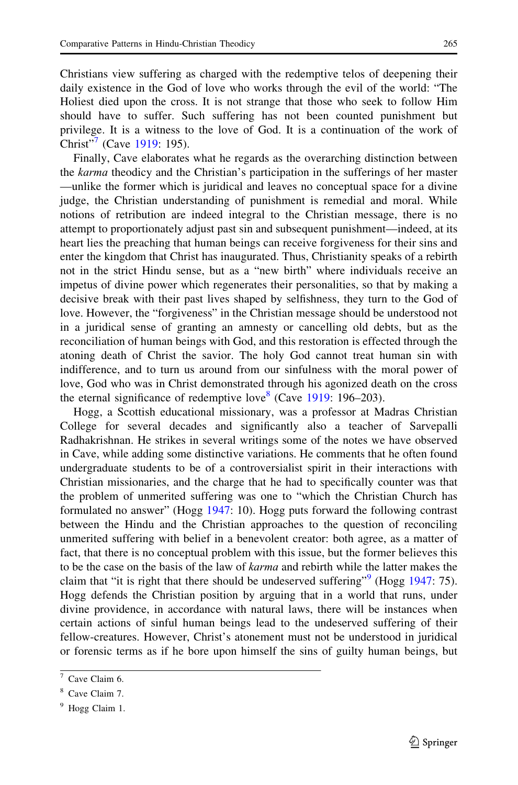Christians view suffering as charged with the redemptive telos of deepening their daily existence in the God of love who works through the evil of the world: "The Holiest died upon the cross. It is not strange that those who seek to follow Him should have to suffer. Such suffering has not been counted punishment but privilege. It is a witness to the love of God. It is a continuation of the work of Christ"<sup>'</sup> (Cave [1919](#page-27-0): 195).

Finally, Cave elaborates what he regards as the overarching distinction between the karma theodicy and the Christian's participation in the sufferings of her master —unlike the former which is juridical and leaves no conceptual space for a divine judge, the Christian understanding of punishment is remedial and moral. While notions of retribution are indeed integral to the Christian message, there is no attempt to proportionately adjust past sin and subsequent punishment—indeed, at its heart lies the preaching that human beings can receive forgiveness for their sins and enter the kingdom that Christ has inaugurated. Thus, Christianity speaks of a rebirth not in the strict Hindu sense, but as a "new birth" where individuals receive an impetus of divine power which regenerates their personalities, so that by making a decisive break with their past lives shaped by selfishness, they turn to the God of love. However, the "forgiveness" in the Christian message should be understood not in a juridical sense of granting an amnesty or cancelling old debts, but as the reconciliation of human beings with God, and this restoration is effected through the atoning death of Christ the savior. The holy God cannot treat human sin with indifference, and to turn us around from our sinfulness with the moral power of love, God who was in Christ demonstrated through his agonized death on the cross the eternal significance of redemptive love<sup>8</sup> (Cave [1919](#page-27-0): 196–203).

Hogg, a Scottish educational missionary, was a professor at Madras Christian College for several decades and significantly also a teacher of Sarvepalli Radhakrishnan. He strikes in several writings some of the notes we have observed in Cave, while adding some distinctive variations. He comments that he often found undergraduate students to be of a controversialist spirit in their interactions with Christian missionaries, and the charge that he had to specifically counter was that the problem of unmerited suffering was one to "which the Christian Church has formulated no answer" (Hogg [1947](#page-28-0): 10). Hogg puts forward the following contrast between the Hindu and the Christian approaches to the question of reconciling unmerited suffering with belief in a benevolent creator: both agree, as a matter of fact, that there is no conceptual problem with this issue, but the former believes this to be the case on the basis of the law of *karma* and rebirth while the latter makes the claim that "it is right that there should be undeserved suffering"  $(Hogg 1947: 75)$  $(Hogg 1947: 75)$  $(Hogg 1947: 75)$ . Hogg defends the Christian position by arguing that in a world that runs, under divine providence, in accordance with natural laws, there will be instances when certain actions of sinful human beings lead to the undeserved suffering of their fellow-creatures. However, Christ's atonement must not be understood in juridical or forensic terms as if he bore upon himself the sins of guilty human beings, but

 $7$  Cave Claim 6.

<sup>8</sup> Cave Claim 7.

<sup>&</sup>lt;sup>9</sup> Hogg Claim 1.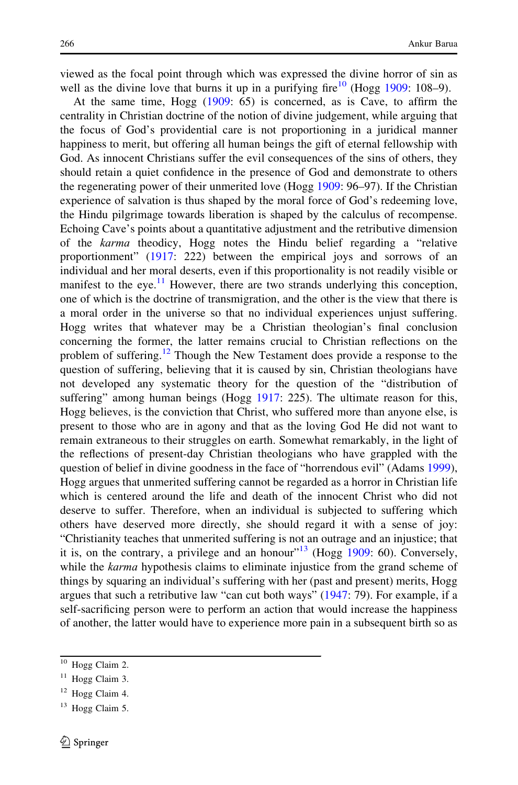viewed as the focal point through which was expressed the divine horror of sin as well as the divine love that burns it up in a purifying fire  $10^{10}$  (Hogg [1909](#page-28-0): 108–9).

At the same time, Hogg [\(1909](#page-28-0): 65) is concerned, as is Cave, to affirm the centrality in Christian doctrine of the notion of divine judgement, while arguing that the focus of God's providential care is not proportioning in a juridical manner happiness to merit, but offering all human beings the gift of eternal fellowship with God. As innocent Christians suffer the evil consequences of the sins of others, they should retain a quiet confidence in the presence of God and demonstrate to others the regenerating power of their unmerited love (Hogg [1909:](#page-28-0) 96–97). If the Christian experience of salvation is thus shaped by the moral force of God's redeeming love, the Hindu pilgrimage towards liberation is shaped by the calculus of recompense. Echoing Cave's points about a quantitative adjustment and the retributive dimension of the karma theodicy, Hogg notes the Hindu belief regarding a "relative proportionment" [\(1917](#page-28-0): 222) between the empirical joys and sorrows of an individual and her moral deserts, even if this proportionality is not readily visible or manifest to the eye.<sup>11</sup> However, there are two strands underlying this conception, one of which is the doctrine of transmigration, and the other is the view that there is a moral order in the universe so that no individual experiences unjust suffering. Hogg writes that whatever may be a Christian theologian's final conclusion concerning the former, the latter remains crucial to Christian reflections on the problem of suffering.<sup>12</sup> Though the New Testament does provide a response to the question of suffering, believing that it is caused by sin, Christian theologians have not developed any systematic theory for the question of the "distribution of suffering" among human beings (Hogg [1917:](#page-28-0) 225). The ultimate reason for this, Hogg believes, is the conviction that Christ, who suffered more than anyone else, is present to those who are in agony and that as the loving God He did not want to remain extraneous to their struggles on earth. Somewhat remarkably, in the light of the reflections of present-day Christian theologians who have grappled with the question of belief in divine goodness in the face of "horrendous evil" (Adams [1999\)](#page-27-0), Hogg argues that unmerited suffering cannot be regarded as a horror in Christian life which is centered around the life and death of the innocent Christ who did not deserve to suffer. Therefore, when an individual is subjected to suffering which others have deserved more directly, she should regard it with a sense of joy: "Christianity teaches that unmerited suffering is not an outrage and an injustice; that it is, on the contrary, a privilege and an honour"<sup>13</sup> (Hogg  $1909$ : 60). Conversely, while the karma hypothesis claims to eliminate injustice from the grand scheme of things by squaring an individual's suffering with her (past and present) merits, Hogg argues that such a retributive law "can cut both ways" [\(1947](#page-28-0): 79). For example, if a self-sacrificing person were to perform an action that would increase the happiness of another, the latter would have to experience more pain in a subsequent birth so as

<sup>&</sup>lt;sup>10</sup> Hogg Claim 2.

<sup>&</sup>lt;sup>11</sup> Hogg Claim 3.

 $12$  Hogg Claim 4.

 $13$  Hogg Claim 5.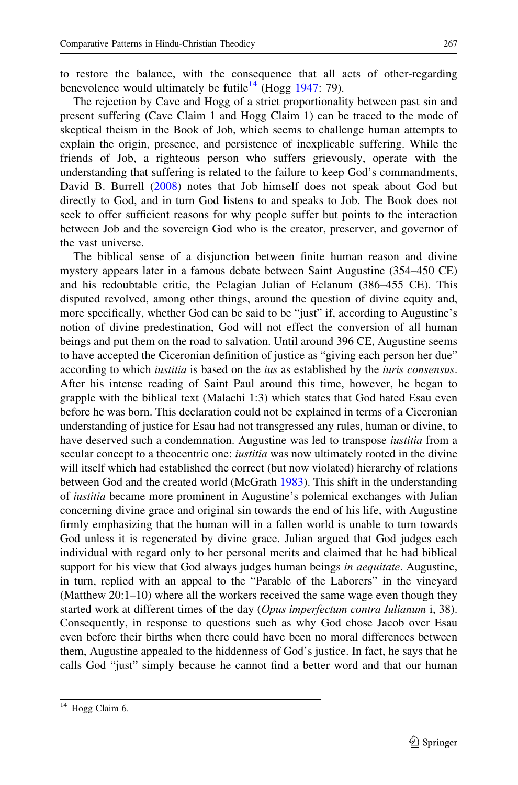to restore the balance, with the consequence that all acts of other-regarding benevolence would ultimately be futile<sup>14</sup> (Hogg [1947](#page-28-0): 79).

The rejection by Cave and Hogg of a strict proportionality between past sin and present suffering (Cave Claim 1 and Hogg Claim 1) can be traced to the mode of skeptical theism in the Book of Job, which seems to challenge human attempts to explain the origin, presence, and persistence of inexplicable suffering. While the friends of Job, a righteous person who suffers grievously, operate with the understanding that suffering is related to the failure to keep God's commandments, David B. Burrell ([2008\)](#page-27-0) notes that Job himself does not speak about God but directly to God, and in turn God listens to and speaks to Job. The Book does not seek to offer sufficient reasons for why people suffer but points to the interaction between Job and the sovereign God who is the creator, preserver, and governor of the vast universe.

The biblical sense of a disjunction between finite human reason and divine mystery appears later in a famous debate between Saint Augustine (354–450 CE) and his redoubtable critic, the Pelagian Julian of Eclanum (386–455 CE). This disputed revolved, among other things, around the question of divine equity and, more specifically, whether God can be said to be "just" if, according to Augustine's notion of divine predestination, God will not effect the conversion of all human beings and put them on the road to salvation. Until around 396 CE, Augustine seems to have accepted the Ciceronian definition of justice as "giving each person her due" according to which *iustitia* is based on the *ius* as established by the *iuris consensus*. After his intense reading of Saint Paul around this time, however, he began to grapple with the biblical text (Malachi 1:3) which states that God hated Esau even before he was born. This declaration could not be explained in terms of a Ciceronian understanding of justice for Esau had not transgressed any rules, human or divine, to have deserved such a condemnation. Augustine was led to transpose *iustitia* from a secular concept to a theocentric one: *iustitia* was now ultimately rooted in the divine will itself which had established the correct (but now violated) hierarchy of relations between God and the created world (McGrath [1983\)](#page-28-0). This shift in the understanding of iustitia became more prominent in Augustine's polemical exchanges with Julian concerning divine grace and original sin towards the end of his life, with Augustine firmly emphasizing that the human will in a fallen world is unable to turn towards God unless it is regenerated by divine grace. Julian argued that God judges each individual with regard only to her personal merits and claimed that he had biblical support for his view that God always judges human beings in *aequitate*. Augustine, in turn, replied with an appeal to the "Parable of the Laborers" in the vineyard (Matthew 20:1–10) where all the workers received the same wage even though they started work at different times of the day (Opus imperfectum contra Iulianum i, 38). Consequently, in response to questions such as why God chose Jacob over Esau even before their births when there could have been no moral differences between them, Augustine appealed to the hiddenness of God's justice. In fact, he says that he calls God "just" simply because he cannot find a better word and that our human

<sup>&</sup>lt;sup>14</sup> Hogg Claim 6.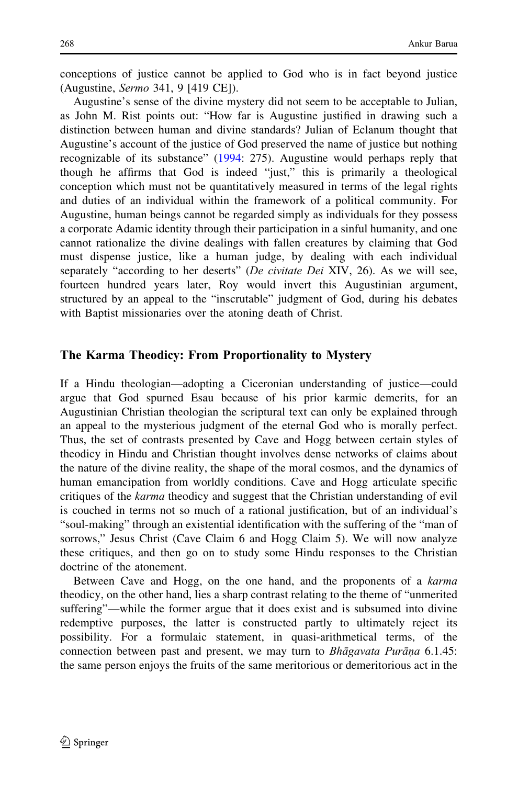conceptions of justice cannot be applied to God who is in fact beyond justice (Augustine, Sermo 341, 9 [419 CE]).

Augustine's sense of the divine mystery did not seem to be acceptable to Julian, as John M. Rist points out: "How far is Augustine justified in drawing such a distinction between human and divine standards? Julian of Eclanum thought that Augustine's account of the justice of God preserved the name of justice but nothing recognizable of its substance" ([1994:](#page-29-0) 275). Augustine would perhaps reply that though he affirms that God is indeed "just," this is primarily a theological conception which must not be quantitatively measured in terms of the legal rights and duties of an individual within the framework of a political community. For Augustine, human beings cannot be regarded simply as individuals for they possess a corporate Adamic identity through their participation in a sinful humanity, and one cannot rationalize the divine dealings with fallen creatures by claiming that God must dispense justice, like a human judge, by dealing with each individual separately "according to her deserts" (De civitate Dei XIV, 26). As we will see, fourteen hundred years later, Roy would invert this Augustinian argument, structured by an appeal to the "inscrutable" judgment of God, during his debates with Baptist missionaries over the atoning death of Christ.

## The Karma Theodicy: From Proportionality to Mystery

If a Hindu theologian—adopting a Ciceronian understanding of justice—could argue that God spurned Esau because of his prior karmic demerits, for an Augustinian Christian theologian the scriptural text can only be explained through an appeal to the mysterious judgment of the eternal God who is morally perfect. Thus, the set of contrasts presented by Cave and Hogg between certain styles of theodicy in Hindu and Christian thought involves dense networks of claims about the nature of the divine reality, the shape of the moral cosmos, and the dynamics of human emancipation from worldly conditions. Cave and Hogg articulate specific critiques of the *karma* theodicy and suggest that the Christian understanding of evil is couched in terms not so much of a rational justification, but of an individual's "soul-making" through an existential identification with the suffering of the "man of sorrows," Jesus Christ (Cave Claim 6 and Hogg Claim 5). We will now analyze these critiques, and then go on to study some Hindu responses to the Christian doctrine of the atonement.

Between Cave and Hogg, on the one hand, and the proponents of a karma theodicy, on the other hand, lies a sharp contrast relating to the theme of "unmerited suffering"—while the former argue that it does exist and is subsumed into divine redemptive purposes, the latter is constructed partly to ultimately reject its possibility. For a formulaic statement, in quasi-arithmetical terms, of the connection between past and present, we may turn to Bhāgavata Purāṇa 6.1.45: the same person enjoys the fruits of the same meritorious or demeritorious act in the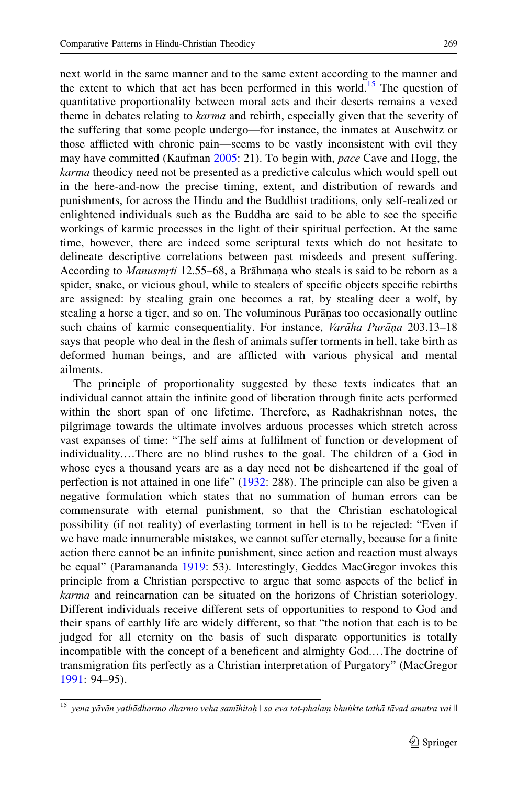next world in the same manner and to the same extent according to the manner and the extent to which that act has been performed in this world.<sup>15</sup> The question of quantitative proportionality between moral acts and their deserts remains a vexed theme in debates relating to *karma* and rebirth, especially given that the severity of the suffering that some people undergo—for instance, the inmates at Auschwitz or those afflicted with chronic pain—seems to be vastly inconsistent with evil they may have committed (Kaufman [2005](#page-28-0): 21). To begin with, *pace* Cave and Hogg, the karma theodicy need not be presented as a predictive calculus which would spell out in the here-and-now the precise timing, extent, and distribution of rewards and punishments, for across the Hindu and the Buddhist traditions, only self-realized or enlightened individuals such as the Buddha are said to be able to see the specific workings of karmic processes in the light of their spiritual perfection. At the same time, however, there are indeed some scriptural texts which do not hesitate to delineate descriptive correlations between past misdeeds and present suffering. According to *Manusmrti* 12.55–68, a Brāhmana who steals is said to be reborn as a spider space or vicious about while to stealers of specific objects specific rebirths spider, snake, or vicious ghoul, while to stealers of specific objects specific rebirths are assigned: by stealing grain one becomes a rat, by stealing deer a wolf, by stealing a horse a tiger, and so on. The voluminous Puranas too occasionally outline such chains of karmic consequentiality. For instance, Varāha Purāṇa 203.13–18 says that people who deal in the flesh of animals suffer torments in hell, take birth as deformed human beings, and are afflicted with various physical and mental ailments.

The principle of proportionality suggested by these texts indicates that an individual cannot attain the infinite good of liberation through finite acts performed within the short span of one lifetime. Therefore, as Radhakrishnan notes, the pilgrimage towards the ultimate involves arduous processes which stretch across vast expanses of time: "The self aims at fulfilment of function or development of individuality.…There are no blind rushes to the goal. The children of a God in whose eyes a thousand years are as a day need not be disheartened if the goal of perfection is not attained in one life" [\(1932](#page-28-0): 288). The principle can also be given a negative formulation which states that no summation of human errors can be commensurate with eternal punishment, so that the Christian eschatological possibility (if not reality) of everlasting torment in hell is to be rejected: "Even if we have made innumerable mistakes, we cannot suffer eternally, because for a finite action there cannot be an infinite punishment, since action and reaction must always be equal" (Paramananda [1919](#page-28-0): 53). Interestingly, Geddes MacGregor invokes this principle from a Christian perspective to argue that some aspects of the belief in karma and reincarnation can be situated on the horizons of Christian soteriology. Different individuals receive different sets of opportunities to respond to God and their spans of earthly life are widely different, so that "the notion that each is to be judged for all eternity on the basis of such disparate opportunities is totally incompatible with the concept of a beneficent and almighty God.…The doctrine of transmigration fits perfectly as a Christian interpretation of Purgatory" (MacGregor [1991:](#page-28-0) 94–95).

<sup>&</sup>lt;sup>15</sup> yena yāvān yathādharmo dharmo veha samīhitaḥ | sa eva tat-phalaṃ bhuṅkte tathā tāvad amutra vai ||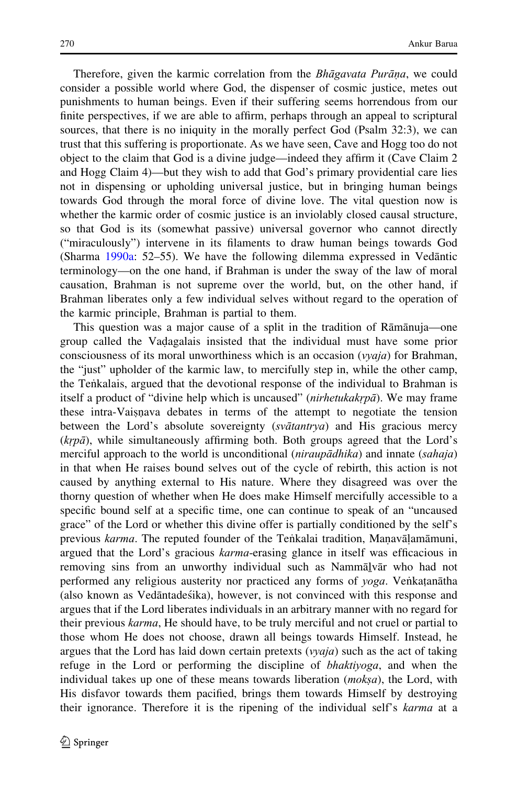Therefore, given the karmic correlation from the *Bhāgavata Purāṇa*, we could consider a possible world where God, the dispenser of cosmic justice, metes out punishments to human beings. Even if their suffering seems horrendous from our finite perspectives, if we are able to affirm, perhaps through an appeal to scriptural sources, that there is no iniquity in the morally perfect God (Psalm 32:3), we can trust that this suffering is proportionate. As we have seen, Cave and Hogg too do not object to the claim that God is a divine judge—indeed they affirm it (Cave Claim 2 and Hogg Claim 4)—but they wish to add that God's primary providential care lies not in dispensing or upholding universal justice, but in bringing human beings towards God through the moral force of divine love. The vital question now is whether the karmic order of cosmic justice is an inviolably closed causal structure, so that God is its (somewhat passive) universal governor who cannot directly ("miraculously") intervene in its filaments to draw human beings towards God (Sharma [1990a:](#page-29-0) 52–55). We have the following dilemma expressed in Vedantic terminology—on the one hand, if Brahman is under the sway of the law of moral causation, Brahman is not supreme over the world, but, on the other hand, if Brahman liberates only a few individual selves without regard to the operation of the karmic principle, Brahman is partial to them.

This question was a major cause of a split in the tradition of Rāmānuja—one group called the Vadagalais insisted that the individual must have some prior<br>consciousness of its moral unworthiness which is an occasion (*waja*) for Brahman consciousness of its moral unworthiness which is an occasion ( $vyaja$ ) for Brahman, the "just" upholder of the karmic law, to mercifully step in, while the other camp, the Ten˙kalais, argued that the devotional response of the individual to Brahman is itself a product of "divine help which is uncaused" (nirhetukakrpā). We may frame these intra-Vaisnava debates in terms of the attempt to negotiate the tension<br>hetween the Lord's absolute sovereignty (svatantya) and His gracious mercy **EXECUTE THE CONSTRUCTED ACCORDING THE CONSTRUCTED AND SERVICE SOVEREIGN (sv** and His gracious mercy  $(krp\bar{a})$ , while simultaneously affirming both. Both groups agreed that the Lord's merciful approach to the world is unconditional (niraupādhika) and innate (sahaja) in that when He raises bound selves out of the cycle of rebirth, this action is not caused by anything external to His nature. Where they disagreed was over the thorny question of whether when He does make Himself mercifully accessible to a specific bound self at a specific time, one can continue to speak of an "uncaused grace" of the Lord or whether this divine offer is partially conditioned by the self's previous *karma*. The reputed founder of the Tenkalai tradition, Manavalamamuni,<br>argued that the Lord's gracious *karma* erasing glance in itself was efficacious in argued that the Lord's gracious *karma*-erasing glance in itself was efficacious in removing sins from an unworthy individual such as Nammālvār who had not performed any religious austerity nor practiced any forms of *yoga*. Venkatanatha<br>(also known as Vedantadesika), however, is not convinced with this response and (also known as Vedāntades´ika), however, is not convinced with this response and argues that if the Lord liberates individuals in an arbitrary manner with no regard for their previous *karma*, He should have, to be truly merciful and not cruel or partial to those whom He does not choose, drawn all beings towards Himself. Instead, he argues that the Lord has laid down certain pretexts  $(vyaja)$  such as the act of taking refuge in the Lord or performing the discipline of bhaktiyoga, and when the individual takes up one of these means towards liberation  $(mok<sub>s</sub>a)$ , the Lord, with His disfavor towards them pacified, brings them towards Himself by destroying their ignorance. Therefore it is the ripening of the individual self's *karma* at a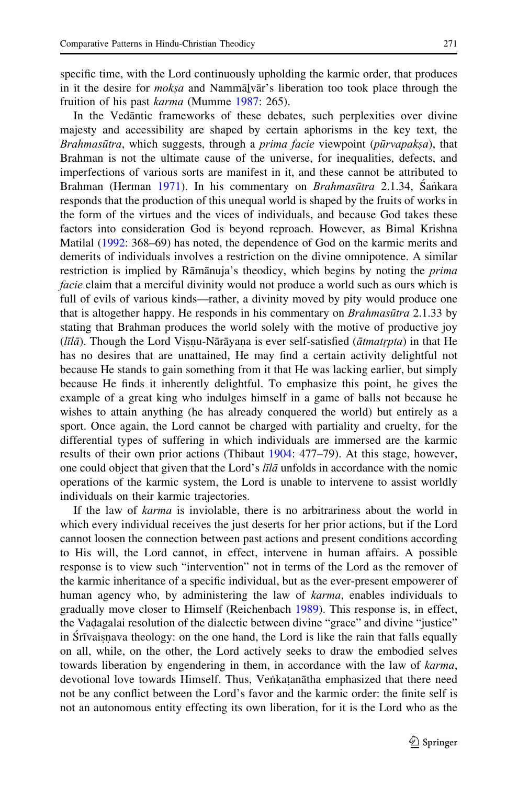specific time, with the Lord continuously upholding the karmic order, that produces in it the desire for *mokṣa* and Nammālvār's liberation too took place through the fruition of his past karma (Mumme [1987:](#page-28-0) 265).

In the Vedantic frameworks of these debates, such perplexities over divine majesty and accessibility are shaped by certain aphorisms in the key text, the Brahmasūtra, which suggests, through a *prima facie* viewpoint (*pūrvapaksa*), that Brahman is not the ultimate cause of the universe, for inequalities, defects, and imperfections of various sorts are manifest in it, and these cannot be attributed to Brahman (Herman [1971\)](#page-28-0). In his commentary on *Brahmasūtra* 2.1.34, Sankara responds that the production of this unequal world is shaped by the fruits of works in the form of the virtues and the vices of individuals, and because God takes these factors into consideration God is beyond reproach. However, as Bimal Krishna Matilal [\(1992](#page-28-0): 368–69) has noted, the dependence of God on the karmic merits and demerits of individuals involves a restriction on the divine omnipotence. A similar restriction is implied by Rāmānuja's theodicy, which begins by noting the *prima* facie claim that a merciful divinity would not produce a world such as ours which is full of evils of various kinds—rather, a divinity moved by pity would produce one that is altogether happy. He responds in his commentary on *Brahmasūtra* 2.1.33 by stating that Brahman produces the world solely with the motive of productive joy  $(l\vec{a})$ . Though the Lord Visnu-Nārāyana is ever self-satisfied ( $\vec{a}$ tmatrpta) in that He has no desires that are unattained. He may find a certain activity delightful not has no desires that are unattained, He may find a certain activity delightful not because He stands to gain something from it that He was lacking earlier, but simply because He finds it inherently delightful. To emphasize this point, he gives the example of a great king who indulges himself in a game of balls not because he wishes to attain anything (he has already conquered the world) but entirely as a sport. Once again, the Lord cannot be charged with partiality and cruelty, for the differential types of suffering in which individuals are immersed are the karmic results of their own prior actions (Thibaut [1904:](#page-29-0) 477–79). At this stage, however, one could object that given that the Lord's līlā unfolds in accordance with the nomic operations of the karmic system, the Lord is unable to intervene to assist worldly individuals on their karmic trajectories.

If the law of karma is inviolable, there is no arbitrariness about the world in which every individual receives the just deserts for her prior actions, but if the Lord cannot loosen the connection between past actions and present conditions according to His will, the Lord cannot, in effect, intervene in human affairs. A possible response is to view such "intervention" not in terms of the Lord as the remover of the karmic inheritance of a specific individual, but as the ever-present empowerer of human agency who, by administering the law of *karma*, enables individuals to gradually move closer to Himself (Reichenbach [1989\)](#page-29-0). This response is, in effect, the Vadagalai resolution of the dialectic between divine "grace" and divine "justice"<br>in Strugishava theology: on the one hand, the Lord is like the rain that falls equally in Struais, in a theology: on the one hand, the Lord is like the rain that falls equally  $\alpha$  and  $\alpha$  is like the rain that falls equally  $\alpha$  and  $\alpha$  is like the rain that falls equally ˙ on all, while, on the other, the Lord actively seeks to draw the embodied selves towards liberation by engendering in them, in accordance with the law of *karma*, devotional love towards Himself. Thus, Venkatanātha emphasized that there need<br>not be any conflict between the Lord's favor and the karmic order; the finite self is not be any conflict between the Lord's favor and the karmic order: the finite self is not an autonomous entity effecting its own liberation, for it is the Lord who as the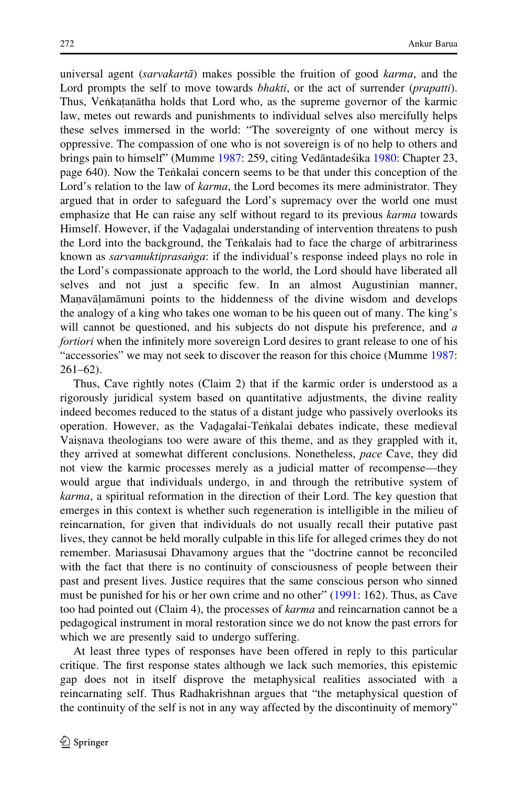universal agent (sarvakarta) makes possible the fruition of good karma, and the Lord prompts the self to move towards *bhakti*, or the act of surrender (*prapatti*). Thus, Venkatanātha holds that Lord who, as the supreme governor of the karmic<br>law, metes out rewards and punishments to individual selves also mercifully helps law, metes out rewards and punishments to individual selves also mercifully helps these selves immersed in the world: "The sovereignty of one without mercy is oppressive. The compassion of one who is not sovereign is of no help to others and brings pain to himself" (Mumme [1987:](#page-28-0) 259, citing Vedantadestika [1980:](#page-29-0) Chapter 23, page 640). Now the Tentalai concern seems to be that under this conception of the Lord's relation to the law of *karma*, the Lord becomes its mere administrator. They argued that in order to safeguard the Lord's supremacy over the world one must emphasize that He can raise any self without regard to its previous *karma* towards Himself. However, if the Vadagalai understanding of intervention threatens to push the Lord into the background, the Tenkalais had to face the charge of arbitrariness the Lord into the background, the Tenkalais had to face the charge of arbitrariness known as *sarvamuktiprasaṅga*: if the individual's response indeed plays no role in the Lord's compassionate approach to the world, the Lord should have liberated all selves and not just a specific few. In an almost Augustinian manner, Manavāļamāmuni points to the hiddenness of the divine wisdom and develops<br>the analogy of a king who takes one woman to be his queen out of many. The king's the analogy of a king who takes one woman to be his queen out of many. The king's will cannot be questioned, and his subjects do not dispute his preference, and  $a$ fortiori when the infinitely more sovereign Lord desires to grant release to one of his "accessories" we may not seek to discover the reason for this choice (Mumme [1987:](#page-28-0) 261–62).

Thus, Cave rightly notes (Claim 2) that if the karmic order is understood as a rigorously juridical system based on quantitative adjustments, the divine reality indeed becomes reduced to the status of a distant judge who passively overlooks its operation. However, as the Vadagalai-Tentalai debates indicate, these medieval<br>Vaisnava theologians too were aware of this theme, and as they grappled with it Vaisnava theologians too were aware of this theme, and as they grappled with it,<br>they arrived at somewhat different conclusions. Nonetheless, nace Cave, they did they arrived at somewhat different conclusions. Nonetheless, pace Cave, they did not view the karmic processes merely as a judicial matter of recompense—they would argue that individuals undergo, in and through the retributive system of karma, a spiritual reformation in the direction of their Lord. The key question that emerges in this context is whether such regeneration is intelligible in the milieu of reincarnation, for given that individuals do not usually recall their putative past lives, they cannot be held morally culpable in this life for alleged crimes they do not remember. Mariasusai Dhavamony argues that the "doctrine cannot be reconciled with the fact that there is no continuity of consciousness of people between their past and present lives. Justice requires that the same conscious person who sinned must be punished for his or her own crime and no other" [\(1991](#page-28-0): 162). Thus, as Cave too had pointed out (Claim 4), the processes of *karma* and reincarnation cannot be a pedagogical instrument in moral restoration since we do not know the past errors for which we are presently said to undergo suffering.

At least three types of responses have been offered in reply to this particular critique. The first response states although we lack such memories, this epistemic gap does not in itself disprove the metaphysical realities associated with a reincarnating self. Thus Radhakrishnan argues that "the metaphysical question of the continuity of the self is not in any way affected by the discontinuity of memory"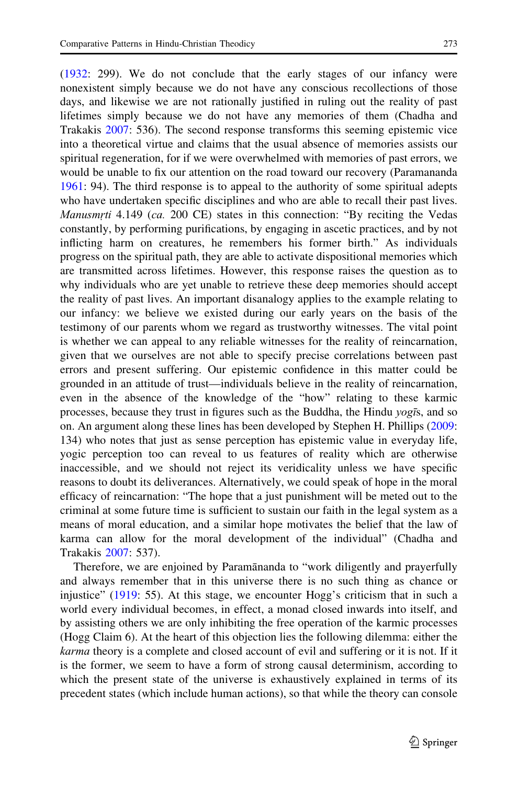[\(1932](#page-28-0): 299). We do not conclude that the early stages of our infancy were nonexistent simply because we do not have any conscious recollections of those days, and likewise we are not rationally justified in ruling out the reality of past lifetimes simply because we do not have any memories of them (Chadha and Trakakis [2007](#page-27-0): 536). The second response transforms this seeming epistemic vice into a theoretical virtue and claims that the usual absence of memories assists our spiritual regeneration, for if we were overwhelmed with memories of past errors, we would be unable to fix our attention on the road toward our recovery (Paramananda [1961:](#page-28-0) 94). The third response is to appeal to the authority of some spiritual adepts who have undertaken specific disciplines and who are able to recall their past lives. Manusmrti 4.149 (ca. 200 CE) states in this connection: "By reciting the Vedas constantly, by performing purifications, by engaging in ascetic practices, and by not inflicting harm on creatures, he remembers his former birth." As individuals progress on the spiritual path, they are able to activate dispositional memories which are transmitted across lifetimes. However, this response raises the question as to why individuals who are yet unable to retrieve these deep memories should accept the reality of past lives. An important disanalogy applies to the example relating to our infancy: we believe we existed during our early years on the basis of the testimony of our parents whom we regard as trustworthy witnesses. The vital point is whether we can appeal to any reliable witnesses for the reality of reincarnation, given that we ourselves are not able to specify precise correlations between past errors and present suffering. Our epistemic confidence in this matter could be grounded in an attitude of trust—individuals believe in the reality of reincarnation, even in the absence of the knowledge of the "how" relating to these karmic processes, because they trust in figures such as the Buddha, the Hindu  $\gamma$ og $\bar{s}$ , and so on. An argument along these lines has been developed by Stephen H. Phillips ([2009:](#page-28-0) 134) who notes that just as sense perception has epistemic value in everyday life, yogic perception too can reveal to us features of reality which are otherwise inaccessible, and we should not reject its veridicality unless we have specific reasons to doubt its deliverances. Alternatively, we could speak of hope in the moral efficacy of reincarnation: "The hope that a just punishment will be meted out to the criminal at some future time is sufficient to sustain our faith in the legal system as a means of moral education, and a similar hope motivates the belief that the law of karma can allow for the moral development of the individual" (Chadha and Trakakis [2007](#page-27-0): 537).

Therefore, we are enjoined by Paramananda to "work diligently and prayerfully and always remember that in this universe there is no such thing as chance or injustice" ([1919:](#page-28-0) 55). At this stage, we encounter Hogg's criticism that in such a world every individual becomes, in effect, a monad closed inwards into itself, and by assisting others we are only inhibiting the free operation of the karmic processes (Hogg Claim 6). At the heart of this objection lies the following dilemma: either the karma theory is a complete and closed account of evil and suffering or it is not. If it is the former, we seem to have a form of strong causal determinism, according to which the present state of the universe is exhaustively explained in terms of its precedent states (which include human actions), so that while the theory can console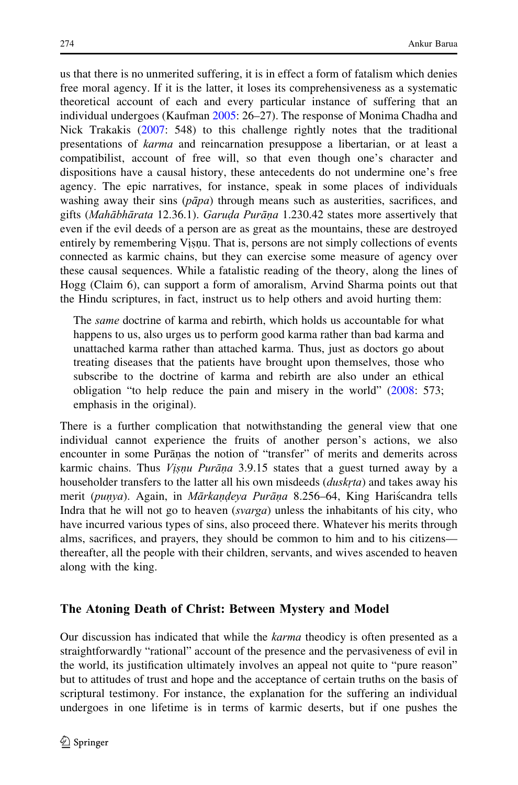us that there is no unmerited suffering, it is in effect a form of fatalism which denies free moral agency. If it is the latter, it loses its comprehensiveness as a systematic theoretical account of each and every particular instance of suffering that an individual undergoes (Kaufman [2005](#page-28-0): 26–27). The response of Monima Chadha and Nick Trakakis ([2007:](#page-27-0) 548) to this challenge rightly notes that the traditional presentations of karma and reincarnation presuppose a libertarian, or at least a compatibilist, account of free will, so that even though one's character and dispositions have a causal history, these antecedents do not undermine one's free agency. The epic narratives, for instance, speak in some places of individuals washing away their sins ( $p\bar{a}pa$ ) through means such as austerities, sacrifices, and gifts (Mahābhārata 12.36.1). Garuda Purāņa 1.230.42 states more assertively that even if the evil deeds of a person are as great as the mountains, these are destroyed entirely by remembering Visnu. That is, persons are not simply collections of events<br>connected as karmic chains, but they can exercise some measure of agency over ˙ ˙ connected as karmic chains, but they can exercise some measure of agency over these causal sequences. While a fatalistic reading of the theory, along the lines of Hogg (Claim 6), can support a form of amoralism, Arvind Sharma points out that the Hindu scriptures, in fact, instruct us to help others and avoid hurting them:

The same doctrine of karma and rebirth, which holds us accountable for what happens to us, also urges us to perform good karma rather than bad karma and unattached karma rather than attached karma. Thus, just as doctors go about treating diseases that the patients have brought upon themselves, those who subscribe to the doctrine of karma and rebirth are also under an ethical obligation "to help reduce the pain and misery in the world" ([2008:](#page-29-0) 573; emphasis in the original).

There is a further complication that notwithstanding the general view that one individual cannot experience the fruits of another person's actions, we also encounter in some Puranas the notion of "transfer" of merits and demerits across karmic chains. Thus *Visnu Purāṇa* 3.9.15 states that a guest turned away by a householder transfers to the latter all his own misdeeds (*duskrta*) and takes away his merit (punya). Again, in Mārkaṇḍeya Purāṇa 8.256–64, King Haris´candra tells Indra that he will not go to heaven (svarga) unless the inhabitants of his city, who have incurred various types of sins, also proceed there. Whatever his merits through alms, sacrifices, and prayers, they should be common to him and to his citizens thereafter, all the people with their children, servants, and wives ascended to heaven along with the king.

# The Atoning Death of Christ: Between Mystery and Model

Our discussion has indicated that while the *karma* theodicy is often presented as a straightforwardly "rational" account of the presence and the pervasiveness of evil in the world, its justification ultimately involves an appeal not quite to "pure reason" but to attitudes of trust and hope and the acceptance of certain truths on the basis of scriptural testimony. For instance, the explanation for the suffering an individual undergoes in one lifetime is in terms of karmic deserts, but if one pushes the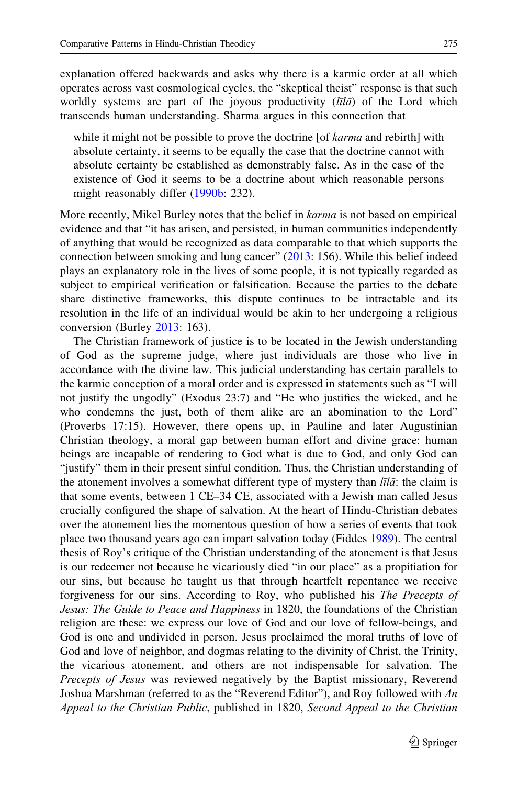explanation offered backwards and asks why there is a karmic order at all which operates across vast cosmological cycles, the "skeptical theist" response is that such worldly systems are part of the joyous productivity  $(l\bar{l}l\bar{a})$  of the Lord which transcends human understanding. Sharma argues in this connection that

while it might not be possible to prove the doctrine [of *karma* and rebirth] with absolute certainty, it seems to be equally the case that the doctrine cannot with absolute certainty be established as demonstrably false. As in the case of the existence of God it seems to be a doctrine about which reasonable persons might reasonably differ ([1990b:](#page-29-0) 232).

More recently, Mikel Burley notes that the belief in *karma* is not based on empirical evidence and that "it has arisen, and persisted, in human communities independently of anything that would be recognized as data comparable to that which supports the connection between smoking and lung cancer" ([2013:](#page-27-0) 156). While this belief indeed plays an explanatory role in the lives of some people, it is not typically regarded as subject to empirical verification or falsification. Because the parties to the debate share distinctive frameworks, this dispute continues to be intractable and its resolution in the life of an individual would be akin to her undergoing a religious conversion (Burley [2013](#page-27-0): 163).

The Christian framework of justice is to be located in the Jewish understanding of God as the supreme judge, where just individuals are those who live in accordance with the divine law. This judicial understanding has certain parallels to the karmic conception of a moral order and is expressed in statements such as "I will not justify the ungodly" (Exodus 23:7) and "He who justifies the wicked, and he who condemns the just, both of them alike are an abomination to the Lord" (Proverbs 17:15). However, there opens up, in Pauline and later Augustinian Christian theology, a moral gap between human effort and divine grace: human beings are incapable of rendering to God what is due to God, and only God can "justify" them in their present sinful condition. Thus, the Christian understanding of the atonement involves a somewhat different type of mystery than  $\overline{\textit{tila}}$ : the claim is that some events, between 1 CE–34 CE, associated with a Jewish man called Jesus crucially configured the shape of salvation. At the heart of Hindu-Christian debates over the atonement lies the momentous question of how a series of events that took place two thousand years ago can impart salvation today (Fiddes [1989](#page-28-0)). The central thesis of Roy's critique of the Christian understanding of the atonement is that Jesus is our redeemer not because he vicariously died "in our place" as a propitiation for our sins, but because he taught us that through heartfelt repentance we receive forgiveness for our sins. According to Roy, who published his The Precepts of Jesus: The Guide to Peace and Happiness in 1820, the foundations of the Christian religion are these: we express our love of God and our love of fellow-beings, and God is one and undivided in person. Jesus proclaimed the moral truths of love of God and love of neighbor, and dogmas relating to the divinity of Christ, the Trinity, the vicarious atonement, and others are not indispensable for salvation. The Precepts of Jesus was reviewed negatively by the Baptist missionary, Reverend Joshua Marshman (referred to as the "Reverend Editor"), and Roy followed with An Appeal to the Christian Public, published in 1820, Second Appeal to the Christian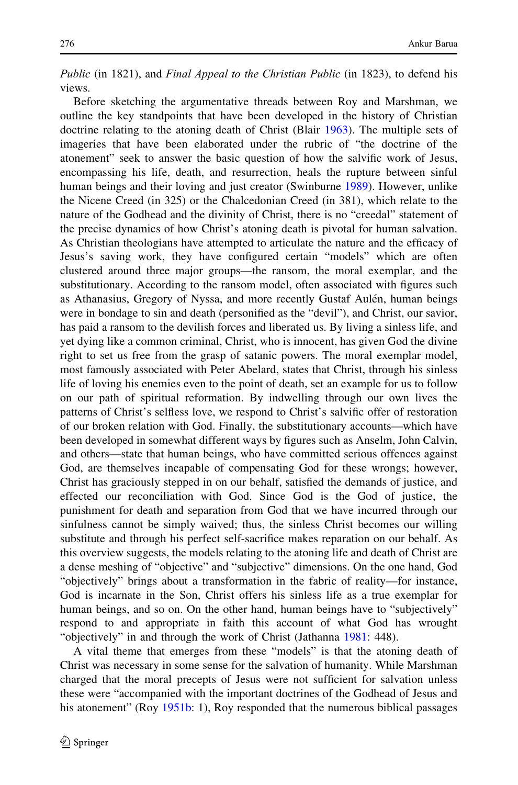Public (in 1821), and Final Appeal to the Christian Public (in 1823), to defend his views.

Before sketching the argumentative threads between Roy and Marshman, we outline the key standpoints that have been developed in the history of Christian doctrine relating to the atoning death of Christ (Blair [1963](#page-27-0)). The multiple sets of imageries that have been elaborated under the rubric of "the doctrine of the atonement" seek to answer the basic question of how the salvific work of Jesus, encompassing his life, death, and resurrection, heals the rupture between sinful human beings and their loving and just creator (Swinburne [1989](#page-29-0)). However, unlike the Nicene Creed (in 325) or the Chalcedonian Creed (in 381), which relate to the nature of the Godhead and the divinity of Christ, there is no "creedal" statement of the precise dynamics of how Christ's atoning death is pivotal for human salvation. As Christian theologians have attempted to articulate the nature and the efficacy of Jesus's saving work, they have configured certain "models" which are often clustered around three major groups—the ransom, the moral exemplar, and the substitutionary. According to the ransom model, often associated with figures such as Athanasius, Gregory of Nyssa, and more recently Gustaf Aulén, human beings were in bondage to sin and death (personified as the "devil"), and Christ, our savior, has paid a ransom to the devilish forces and liberated us. By living a sinless life, and yet dying like a common criminal, Christ, who is innocent, has given God the divine right to set us free from the grasp of satanic powers. The moral exemplar model, most famously associated with Peter Abelard, states that Christ, through his sinless life of loving his enemies even to the point of death, set an example for us to follow on our path of spiritual reformation. By indwelling through our own lives the patterns of Christ's selfless love, we respond to Christ's salvific offer of restoration of our broken relation with God. Finally, the substitutionary accounts—which have been developed in somewhat different ways by figures such as Anselm, John Calvin, and others—state that human beings, who have committed serious offences against God, are themselves incapable of compensating God for these wrongs; however, Christ has graciously stepped in on our behalf, satisfied the demands of justice, and effected our reconciliation with God. Since God is the God of justice, the punishment for death and separation from God that we have incurred through our sinfulness cannot be simply waived; thus, the sinless Christ becomes our willing substitute and through his perfect self-sacrifice makes reparation on our behalf. As this overview suggests, the models relating to the atoning life and death of Christ are a dense meshing of "objective" and "subjective" dimensions. On the one hand, God "objectively" brings about a transformation in the fabric of reality—for instance, God is incarnate in the Son, Christ offers his sinless life as a true exemplar for human beings, and so on. On the other hand, human beings have to "subjectively" respond to and appropriate in faith this account of what God has wrought "objectively" in and through the work of Christ (Jathanna [1981:](#page-28-0) 448).

A vital theme that emerges from these "models" is that the atoning death of Christ was necessary in some sense for the salvation of humanity. While Marshman charged that the moral precepts of Jesus were not sufficient for salvation unless these were "accompanied with the important doctrines of the Godhead of Jesus and his atonement" (Roy [1951b](#page-29-0): 1), Roy responded that the numerous biblical passages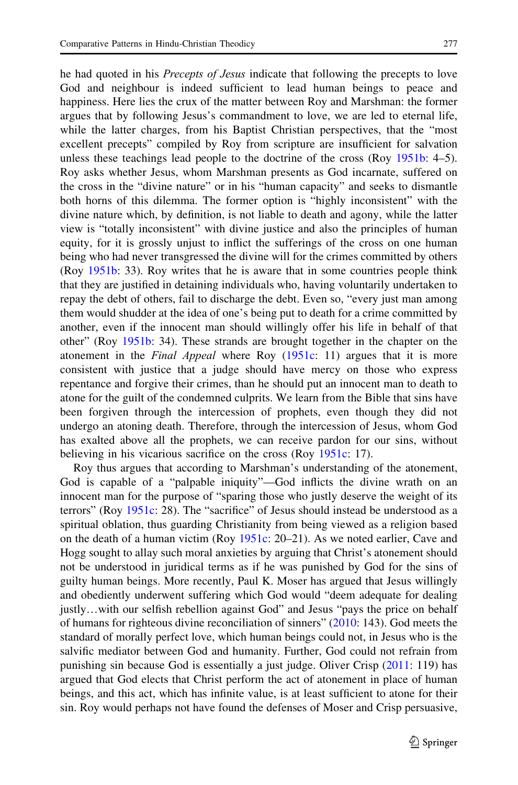he had quoted in his *Precepts of Jesus* indicate that following the precepts to love God and neighbour is indeed sufficient to lead human beings to peace and happiness. Here lies the crux of the matter between Roy and Marshman: the former argues that by following Jesus's commandment to love, we are led to eternal life, while the latter charges, from his Baptist Christian perspectives, that the "most excellent precepts" compiled by Roy from scripture are insufficient for salvation unless these teachings lead people to the doctrine of the cross (Roy [1951b](#page-29-0): 4–5). Roy asks whether Jesus, whom Marshman presents as God incarnate, suffered on the cross in the "divine nature" or in his "human capacity" and seeks to dismantle both horns of this dilemma. The former option is "highly inconsistent" with the divine nature which, by definition, is not liable to death and agony, while the latter view is "totally inconsistent" with divine justice and also the principles of human equity, for it is grossly unjust to inflict the sufferings of the cross on one human being who had never transgressed the divine will for the crimes committed by others (Roy [1951b](#page-29-0): 33). Roy writes that he is aware that in some countries people think that they are justified in detaining individuals who, having voluntarily undertaken to repay the debt of others, fail to discharge the debt. Even so, "every just man among them would shudder at the idea of one's being put to death for a crime committed by another, even if the innocent man should willingly offer his life in behalf of that other" (Roy [1951b](#page-29-0): 34). These strands are brought together in the chapter on the atonement in the Final Appeal where Roy ([1951c](#page-29-0): 11) argues that it is more consistent with justice that a judge should have mercy on those who express repentance and forgive their crimes, than he should put an innocent man to death to atone for the guilt of the condemned culprits. We learn from the Bible that sins have been forgiven through the intercession of prophets, even though they did not undergo an atoning death. Therefore, through the intercession of Jesus, whom God has exalted above all the prophets, we can receive pardon for our sins, without believing in his vicarious sacrifice on the cross (Roy [1951c:](#page-29-0) 17).

Roy thus argues that according to Marshman's understanding of the atonement, God is capable of a "palpable iniquity"—God inflicts the divine wrath on an innocent man for the purpose of "sparing those who justly deserve the weight of its terrors" (Roy [1951c](#page-29-0): 28). The "sacrifice" of Jesus should instead be understood as a spiritual oblation, thus guarding Christianity from being viewed as a religion based on the death of a human victim (Roy [1951c](#page-29-0): 20–21). As we noted earlier, Cave and Hogg sought to allay such moral anxieties by arguing that Christ's atonement should not be understood in juridical terms as if he was punished by God for the sins of guilty human beings. More recently, Paul K. Moser has argued that Jesus willingly and obediently underwent suffering which God would "deem adequate for dealing justly…with our selfish rebellion against God" and Jesus "pays the price on behalf of humans for righteous divine reconciliation of sinners"  $(2010: 143)$  $(2010: 143)$  $(2010: 143)$ . God meets the standard of morally perfect love, which human beings could not, in Jesus who is the salvific mediator between God and humanity. Further, God could not refrain from punishing sin because God is essentially a just judge. Oliver Crisp ([2011:](#page-27-0) 119) has argued that God elects that Christ perform the act of atonement in place of human beings, and this act, which has infinite value, is at least sufficient to atone for their sin. Roy would perhaps not have found the defenses of Moser and Crisp persuasive,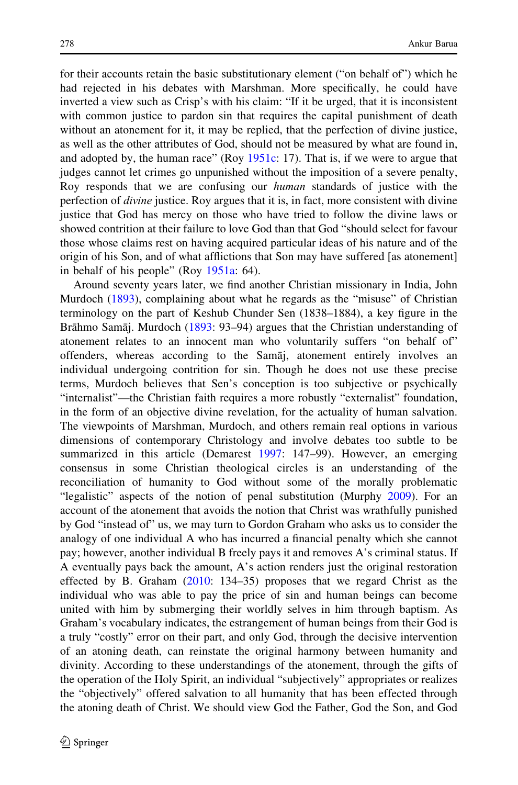for their accounts retain the basic substitutionary element ("on behalf of") which he had rejected in his debates with Marshman. More specifically, he could have inverted a view such as Crisp's with his claim: "If it be urged, that it is inconsistent with common justice to pardon sin that requires the capital punishment of death without an atonement for it, it may be replied, that the perfection of divine justice, as well as the other attributes of God, should not be measured by what are found in, and adopted by, the human race" (Roy [1951c](#page-29-0): 17). That is, if we were to argue that judges cannot let crimes go unpunished without the imposition of a severe penalty, Roy responds that we are confusing our *human* standards of justice with the perfection of divine justice. Roy argues that it is, in fact, more consistent with divine justice that God has mercy on those who have tried to follow the divine laws or showed contrition at their failure to love God than that God "should select for favour those whose claims rest on having acquired particular ideas of his nature and of the origin of his Son, and of what afflictions that Son may have suffered [as atonement] in behalf of his people" (Roy [1951a](#page-29-0): 64).

Around seventy years later, we find another Christian missionary in India, John Murdoch [\(1893](#page-28-0)), complaining about what he regards as the "misuse" of Christian terminology on the part of Keshub Chunder Sen (1838–1884), a key figure in the Brāhmo Samāj. Murdoch [\(1893](#page-28-0): 93–94) argues that the Christian understanding of atonement relates to an innocent man who voluntarily suffers "on behalf of" offenders, whereas according to the Samaj, atonement entirely involves an individual undergoing contrition for sin. Though he does not use these precise terms, Murdoch believes that Sen's conception is too subjective or psychically "internalist"—the Christian faith requires a more robustly "externalist" foundation, in the form of an objective divine revelation, for the actuality of human salvation. The viewpoints of Marshman, Murdoch, and others remain real options in various dimensions of contemporary Christology and involve debates too subtle to be summarized in this article (Demarest [1997](#page-27-0): 147–99). However, an emerging consensus in some Christian theological circles is an understanding of the reconciliation of humanity to God without some of the morally problematic "legalistic" aspects of the notion of penal substitution (Murphy [2009](#page-28-0)). For an account of the atonement that avoids the notion that Christ was wrathfully punished by God "instead of" us, we may turn to Gordon Graham who asks us to consider the analogy of one individual A who has incurred a financial penalty which she cannot pay; however, another individual B freely pays it and removes A's criminal status. If A eventually pays back the amount, A's action renders just the original restoration effected by B. Graham ([2010:](#page-28-0) 134–35) proposes that we regard Christ as the individual who was able to pay the price of sin and human beings can become united with him by submerging their worldly selves in him through baptism. As Graham's vocabulary indicates, the estrangement of human beings from their God is a truly "costly" error on their part, and only God, through the decisive intervention of an atoning death, can reinstate the original harmony between humanity and divinity. According to these understandings of the atonement, through the gifts of the operation of the Holy Spirit, an individual "subjectively" appropriates or realizes the "objectively" offered salvation to all humanity that has been effected through the atoning death of Christ. We should view God the Father, God the Son, and God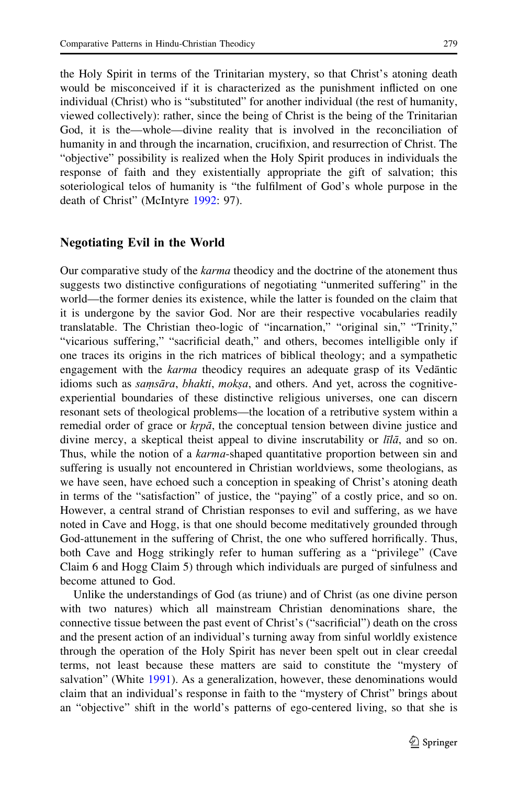the Holy Spirit in terms of the Trinitarian mystery, so that Christ's atoning death would be misconceived if it is characterized as the punishment inflicted on one individual (Christ) who is "substituted" for another individual (the rest of humanity, viewed collectively): rather, since the being of Christ is the being of the Trinitarian God, it is the—whole—divine reality that is involved in the reconciliation of humanity in and through the incarnation, crucifixion, and resurrection of Christ. The "objective" possibility is realized when the Holy Spirit produces in individuals the response of faith and they existentially appropriate the gift of salvation; this soteriological telos of humanity is "the fulfilment of God's whole purpose in the death of Christ" (McIntyre [1992:](#page-28-0) 97).

### Negotiating Evil in the World

Our comparative study of the *karma* theodicy and the doctrine of the atonement thus suggests two distinctive configurations of negotiating "unmerited suffering" in the world—the former denies its existence, while the latter is founded on the claim that it is undergone by the savior God. Nor are their respective vocabularies readily translatable. The Christian theo-logic of "incarnation," "original sin," "Trinity," "vicarious suffering," "sacrificial death," and others, becomes intelligible only if one traces its origins in the rich matrices of biblical theology; and a sympathetic engagement with the *karma* theodicy requires an adequate grasp of its Vedantic idioms such as *samsāra*, *bhakti*, *mokṣa*, and others. And yet, across the cognitiveexperiential boundaries of these distinctive religious universes, one can discern resonant sets of theological problems—the location of a retributive system within a remedial order of grace or  $krp\bar{a}$ , the conceptual tension between divine justice and divine mercy, a skeptical theist appeal to divine inscrutability or  $\overline{\textit{tila}}$ , and so on. Thus, while the notion of a *karma*-shaped quantitative proportion between sin and suffering is usually not encountered in Christian worldviews, some theologians, as we have seen, have echoed such a conception in speaking of Christ's atoning death in terms of the "satisfaction" of justice, the "paying" of a costly price, and so on. However, a central strand of Christian responses to evil and suffering, as we have noted in Cave and Hogg, is that one should become meditatively grounded through God-attunement in the suffering of Christ, the one who suffered horrifically. Thus, both Cave and Hogg strikingly refer to human suffering as a "privilege" (Cave Claim 6 and Hogg Claim 5) through which individuals are purged of sinfulness and become attuned to God.

Unlike the understandings of God (as triune) and of Christ (as one divine person with two natures) which all mainstream Christian denominations share, the connective tissue between the past event of Christ's ("sacrificial") death on the cross and the present action of an individual's turning away from sinful worldly existence through the operation of the Holy Spirit has never been spelt out in clear creedal terms, not least because these matters are said to constitute the "mystery of salvation" (White [1991](#page-29-0)). As a generalization, however, these denominations would claim that an individual's response in faith to the "mystery of Christ" brings about an "objective" shift in the world's patterns of ego-centered living, so that she is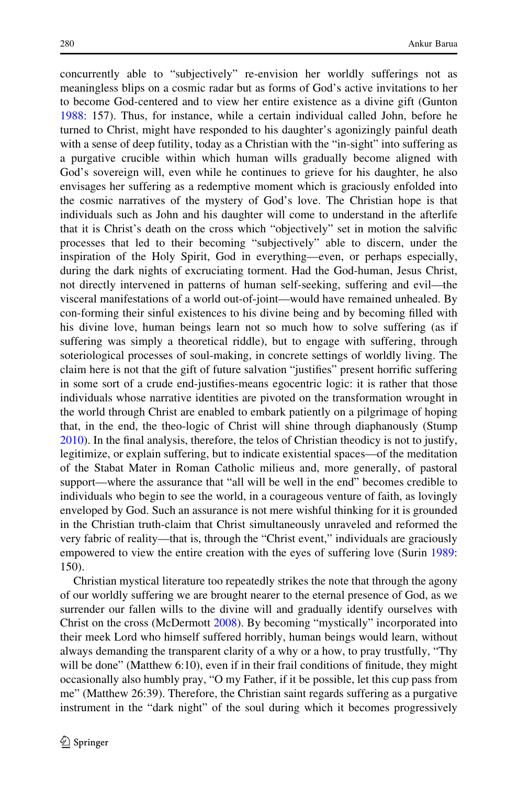concurrently able to "subjectively" re-envision her worldly sufferings not as meaningless blips on a cosmic radar but as forms of God's active invitations to her to become God-centered and to view her entire existence as a divine gift (Gunton [1988:](#page-28-0) 157). Thus, for instance, while a certain individual called John, before he turned to Christ, might have responded to his daughter's agonizingly painful death with a sense of deep futility, today as a Christian with the "in-sight" into suffering as a purgative crucible within which human wills gradually become aligned with God's sovereign will, even while he continues to grieve for his daughter, he also envisages her suffering as a redemptive moment which is graciously enfolded into the cosmic narratives of the mystery of God's love. The Christian hope is that individuals such as John and his daughter will come to understand in the afterlife that it is Christ's death on the cross which "objectively" set in motion the salvific processes that led to their becoming "subjectively" able to discern, under the inspiration of the Holy Spirit, God in everything—even, or perhaps especially, during the dark nights of excruciating torment. Had the God-human, Jesus Christ, not directly intervened in patterns of human self-seeking, suffering and evil—the visceral manifestations of a world out-of-joint—would have remained unhealed. By con-forming their sinful existences to his divine being and by becoming filled with his divine love, human beings learn not so much how to solve suffering (as if suffering was simply a theoretical riddle), but to engage with suffering, through soteriological processes of soul-making, in concrete settings of worldly living. The claim here is not that the gift of future salvation "justifies" present horrific suffering in some sort of a crude end-justifies-means egocentric logic: it is rather that those individuals whose narrative identities are pivoted on the transformation wrought in the world through Christ are enabled to embark patiently on a pilgrimage of hoping that, in the end, the theo-logic of Christ will shine through diaphanously (Stump [2010\)](#page-29-0). In the final analysis, therefore, the telos of Christian theodicy is not to justify, legitimize, or explain suffering, but to indicate existential spaces—of the meditation of the Stabat Mater in Roman Catholic milieus and, more generally, of pastoral support—where the assurance that "all will be well in the end" becomes credible to individuals who begin to see the world, in a courageous venture of faith, as lovingly enveloped by God. Such an assurance is not mere wishful thinking for it is grounded in the Christian truth-claim that Christ simultaneously unraveled and reformed the very fabric of reality—that is, through the "Christ event," individuals are graciously empowered to view the entire creation with the eyes of suffering love (Surin [1989:](#page-29-0) 150).

Christian mystical literature too repeatedly strikes the note that through the agony of our worldly suffering we are brought nearer to the eternal presence of God, as we surrender our fallen wills to the divine will and gradually identify ourselves with Christ on the cross (McDermott [2008](#page-28-0)). By becoming "mystically" incorporated into their meek Lord who himself suffered horribly, human beings would learn, without always demanding the transparent clarity of a why or a how, to pray trustfully, "Thy will be done" (Matthew 6:10), even if in their frail conditions of finitude, they might occasionally also humbly pray, "O my Father, if it be possible, let this cup pass from me" (Matthew 26:39). Therefore, the Christian saint regards suffering as a purgative instrument in the "dark night" of the soul during which it becomes progressively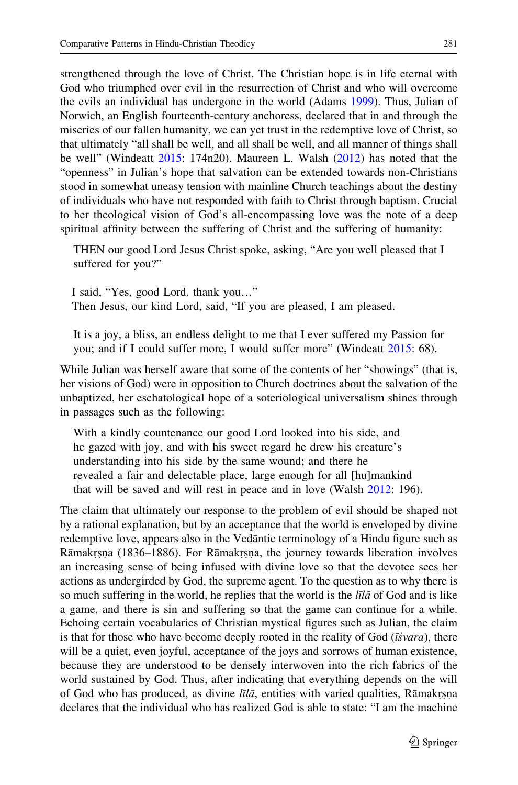strengthened through the love of Christ. The Christian hope is in life eternal with God who triumphed over evil in the resurrection of Christ and who will overcome the evils an individual has undergone in the world (Adams [1999](#page-27-0)). Thus, Julian of Norwich, an English fourteenth-century anchoress, declared that in and through the miseries of our fallen humanity, we can yet trust in the redemptive love of Christ, so that ultimately "all shall be well, and all shall be well, and all manner of things shall be well" (Windeatt [2015](#page-29-0): 174n20). Maureen L. Walsh [\(2012](#page-29-0)) has noted that the "openness" in Julian's hope that salvation can be extended towards non-Christians stood in somewhat uneasy tension with mainline Church teachings about the destiny of individuals who have not responded with faith to Christ through baptism. Crucial to her theological vision of God's all-encompassing love was the note of a deep spiritual affinity between the suffering of Christ and the suffering of humanity:

THEN our good Lord Jesus Christ spoke, asking, "Are you well pleased that I suffered for you?"

I said, "Yes, good Lord, thank you…" Then Jesus, our kind Lord, said, "If you are pleased, I am pleased.

It is a joy, a bliss, an endless delight to me that I ever suffered my Passion for you; and if I could suffer more, I would suffer more" (Windeatt [2015](#page-29-0): 68).

While Julian was herself aware that some of the contents of her "showings" (that is, her visions of God) were in opposition to Church doctrines about the salvation of the unbaptized, her eschatological hope of a soteriological universalism shines through in passages such as the following:

With a kindly countenance our good Lord looked into his side, and he gazed with joy, and with his sweet regard he drew his creature's understanding into his side by the same wound; and there he revealed a fair and delectable place, large enough for all [hu]mankind that will be saved and will rest in peace and in love (Walsh [2012:](#page-29-0) 196).

The claim that ultimately our response to the problem of evil should be shaped not by a rational explanation, but by an acceptance that the world is enveloped by divine redemptive love, appears also in the Vedantic terminology of a Hindu figure such as Rāmakrsna (1836–1886). For Rāmakrsna, the journey towards liberation involves<br>an increasing sense of being infused with divine love so that the devotee sees her Infinite the second sense of being infused with divine love so that the devotee sees her actions as undergirded by God, the supreme agent. To the question as to why there is so much suffering in the world, he replies that the world is the  $\ell \bar{\ell}$  and is like a game, and there is sin and suffering so that the game can continue for a while. Echoing certain vocabularies of Christian mystical figures such as Julian, the claim is that for those who have become deeply rooted in the reality of God ( $\vec{t}$ svara), there will be a quiet, even joyful, acceptance of the joys and sorrows of human existence, because they are understood to be densely interwoven into the rich fabrics of the world sustained by God. Thus, after indicating that everything depends on the will of God who has produced, as divine  $l\bar{z}l\bar{a}$ , entities with varied qualities, Rāmakrsna<br>declares that the individual who has realized God is able to state: "I am the machine declares that the individual who has realized God is able to state: "I am the machine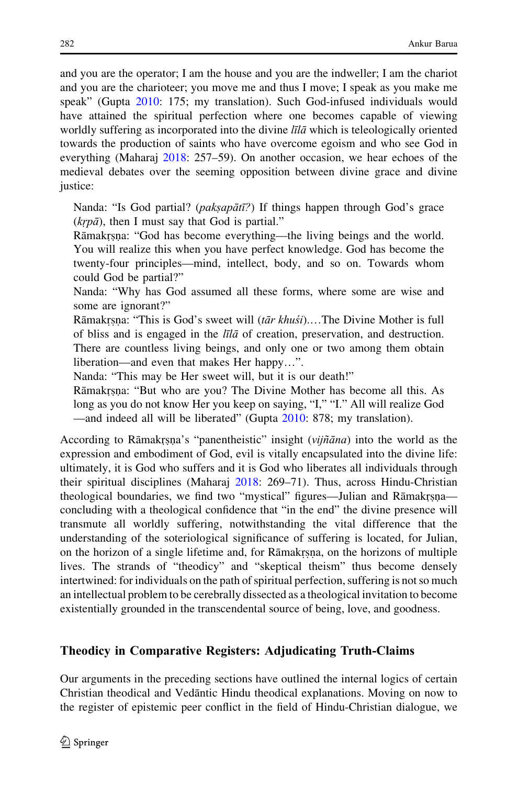and you are the operator; I am the house and you are the indweller; I am the chariot and you are the charioteer; you move me and thus I move; I speak as you make me speak" (Gupta [2010](#page-28-0): 175; my translation). Such God-infused individuals would have attained the spiritual perfection where one becomes capable of viewing worldly suffering as incorporated into the divine  $\overline{I}I\overline{I}a$  which is teleologically oriented towards the production of saints who have overcome egoism and who see God in everything (Maharaj [2018](#page-28-0): 257–59). On another occasion, we hear echoes of the medieval debates over the seeming opposition between divine grace and divine justice:

Nanda: "Is God partial? (*pakṣapātī?*) If things happen through God's grace  $(krp\bar{a})$ , then I must say that God is partial."

Rāmakrṣṇa: "God has become everything—the living beings and the world.<br>You will realize this when you have perfect knowledge. God has become the ˙ ˙ You will realize this when you have perfect knowledge. God has become the twenty-four principles—mind, intellect, body, and so on. Towards whom could God be partial?"

Nanda: "Why has God assumed all these forms, where some are wise and some are ignorant?"

Rāmakrs, na: "This is God's sweet will  $(t\bar{a}r khu\acute{s}i)$ .... The Divine Mother is full of bliss and is engaged in the  $l\bar{s}l\bar{s}$  of creation preservation and destruction of bliss and is engaged in the *līlā* of creation, preservation, and destruction. There are countless living beings, and only one or two among them obtain liberation—and even that makes Her happy…".

Nanda: "This may be Her sweet will, but it is our death!"

Rāmakrṣṇa: "But who are you? The Divine Mother has become all this. As<br>long as you do not know Her you keen on saying "I" "I" All will realize God ˙ ˙ long as you do not know Her you keep on saying, "I," "I." All will realize God —and indeed all will be liberated" (Gupta [2010](#page-28-0): 878; my translation).

According to Rāmakrsna's "panentheistic" insight  $(vij\tilde{n}\bar{a}na)$  into the world as the expression and embodiment of God, evil is vitally encapsulated into the divine life: expression and embodiment of God, evil is vitally encapsulated into the divine life: ultimately, it is God who suffers and it is God who liberates all individuals through their spiritual disciplines (Maharaj [2018:](#page-28-0) 269–71). Thus, across Hindu-Christian theological boundaries, we find two "mystical" figures—Julian and Rāmakrsna—<br>concluding with a theological confidence that "in the end" the divine presence will concluding with a theological confidence that "in the end" the divine presence will transmute all worldly suffering, notwithstanding the vital difference that the understanding of the soteriological significance of suffering is located, for Julian, on the horizon of a single lifetime and, for Ramakrsna, on the horizons of multiple<br>lives. The strands of "theodicy" and "skeptical theism" thus become densely Iives. The strands of "theodicy" and "skeptical theism" thus become densely intertwined: for individuals on the path of spiritual perfection, suffering is not so much an intellectual problem to be cerebrally dissected as a theological invitation to become existentially grounded in the transcendental source of being, love, and goodness.

# Theodicy in Comparative Registers: Adjudicating Truth-Claims

Our arguments in the preceding sections have outlined the internal logics of certain Christian theodical and Vedantic Hindu theodical explanations. Moving on now to the register of epistemic peer conflict in the field of Hindu-Christian dialogue, we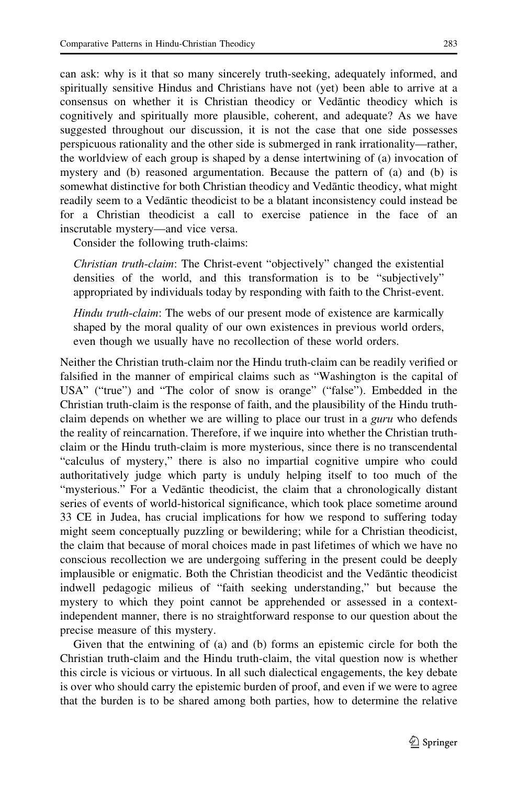can ask: why is it that so many sincerely truth-seeking, adequately informed, and spiritually sensitive Hindus and Christians have not (yet) been able to arrive at a consensus on whether it is Christian theodicy or Vedantic theodicy which is cognitively and spiritually more plausible, coherent, and adequate? As we have suggested throughout our discussion, it is not the case that one side possesses perspicuous rationality and the other side is submerged in rank irrationality—rather, the worldview of each group is shaped by a dense intertwining of (a) invocation of

mystery and (b) reasoned argumentation. Because the pattern of (a) and (b) is somewhat distinctive for both Christian theodicy and Vedantic theodicy, what might readily seem to a Vedantic theodicist to be a blatant inconsistency could instead be for a Christian theodicist a call to exercise patience in the face of an inscrutable mystery—and vice versa.

Consider the following truth-claims:

Christian truth-claim: The Christ-event "objectively" changed the existential densities of the world, and this transformation is to be "subjectively" appropriated by individuals today by responding with faith to the Christ-event.

Hindu truth-claim: The webs of our present mode of existence are karmically shaped by the moral quality of our own existences in previous world orders, even though we usually have no recollection of these world orders.

Neither the Christian truth-claim nor the Hindu truth-claim can be readily verified or falsified in the manner of empirical claims such as "Washington is the capital of USA" ("true") and "The color of snow is orange" ("false"). Embedded in the Christian truth-claim is the response of faith, and the plausibility of the Hindu truthclaim depends on whether we are willing to place our trust in a *guru* who defends the reality of reincarnation. Therefore, if we inquire into whether the Christian truthclaim or the Hindu truth-claim is more mysterious, since there is no transcendental "calculus of mystery," there is also no impartial cognitive umpire who could authoritatively judge which party is unduly helping itself to too much of the "mysterious." For a Vedantic theodicist, the claim that a chronologically distant series of events of world-historical significance, which took place sometime around 33 CE in Judea, has crucial implications for how we respond to suffering today might seem conceptually puzzling or bewildering; while for a Christian theodicist, the claim that because of moral choices made in past lifetimes of which we have no conscious recollection we are undergoing suffering in the present could be deeply implausible or enigmatic. Both the Christian theodicist and the Vedantic theodicist indwell pedagogic milieus of "faith seeking understanding," but because the mystery to which they point cannot be apprehended or assessed in a contextindependent manner, there is no straightforward response to our question about the precise measure of this mystery.

Given that the entwining of (a) and (b) forms an epistemic circle for both the Christian truth-claim and the Hindu truth-claim, the vital question now is whether this circle is vicious or virtuous. In all such dialectical engagements, the key debate is over who should carry the epistemic burden of proof, and even if we were to agree that the burden is to be shared among both parties, how to determine the relative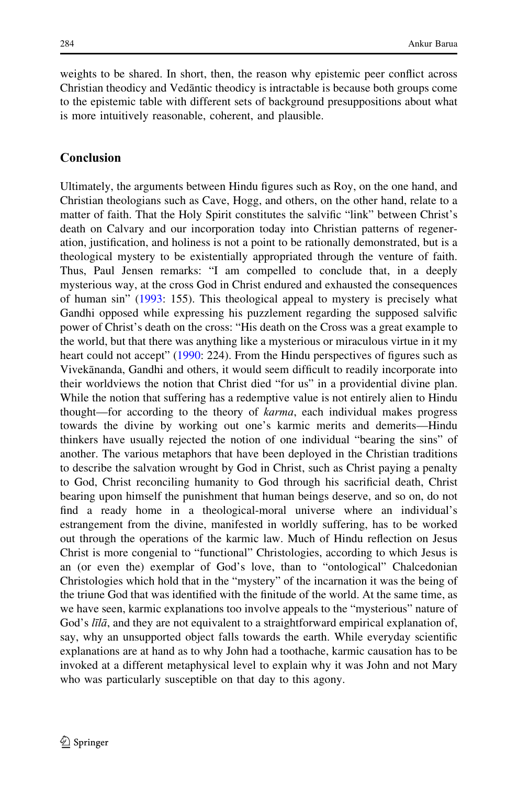weights to be shared. In short, then, the reason why epistemic peer conflict across Christian theodicy and Vedantic theodicy is intractable is because both groups come to the epistemic table with different sets of background presuppositions about what is more intuitively reasonable, coherent, and plausible.

## Conclusion

Ultimately, the arguments between Hindu figures such as Roy, on the one hand, and Christian theologians such as Cave, Hogg, and others, on the other hand, relate to a matter of faith. That the Holy Spirit constitutes the salvific "link" between Christ's death on Calvary and our incorporation today into Christian patterns of regeneration, justification, and holiness is not a point to be rationally demonstrated, but is a theological mystery to be existentially appropriated through the venture of faith. Thus, Paul Jensen remarks: "I am compelled to conclude that, in a deeply mysterious way, at the cross God in Christ endured and exhausted the consequences of human sin" [\(1993:](#page-28-0) 155). This theological appeal to mystery is precisely what Gandhi opposed while expressing his puzzlement regarding the supposed salvific power of Christ's death on the cross: "His death on the Cross was a great example to the world, but that there was anything like a mysterious or miraculous virtue in it my heart could not accept" [\(1990](#page-28-0): 224). From the Hindu perspectives of figures such as Vivekānanda, Gandhi and others, it would seem difficult to readily incorporate into their worldviews the notion that Christ died "for us" in a providential divine plan. While the notion that suffering has a redemptive value is not entirely alien to Hindu thought—for according to the theory of karma, each individual makes progress towards the divine by working out one's karmic merits and demerits—Hindu thinkers have usually rejected the notion of one individual "bearing the sins" of another. The various metaphors that have been deployed in the Christian traditions to describe the salvation wrought by God in Christ, such as Christ paying a penalty to God, Christ reconciling humanity to God through his sacrificial death, Christ bearing upon himself the punishment that human beings deserve, and so on, do not find a ready home in a theological-moral universe where an individual's estrangement from the divine, manifested in worldly suffering, has to be worked out through the operations of the karmic law. Much of Hindu reflection on Jesus Christ is more congenial to "functional" Christologies, according to which Jesus is an (or even the) exemplar of God's love, than to "ontological" Chalcedonian Christologies which hold that in the "mystery" of the incarnation it was the being of the triune God that was identified with the finitude of the world. At the same time, as we have seen, karmic explanations too involve appeals to the "mysterious" nature of God's *līlā*, and they are not equivalent to a straightforward empirical explanation of, say, why an unsupported object falls towards the earth. While everyday scientific explanations are at hand as to why John had a toothache, karmic causation has to be invoked at a different metaphysical level to explain why it was John and not Mary who was particularly susceptible on that day to this agony.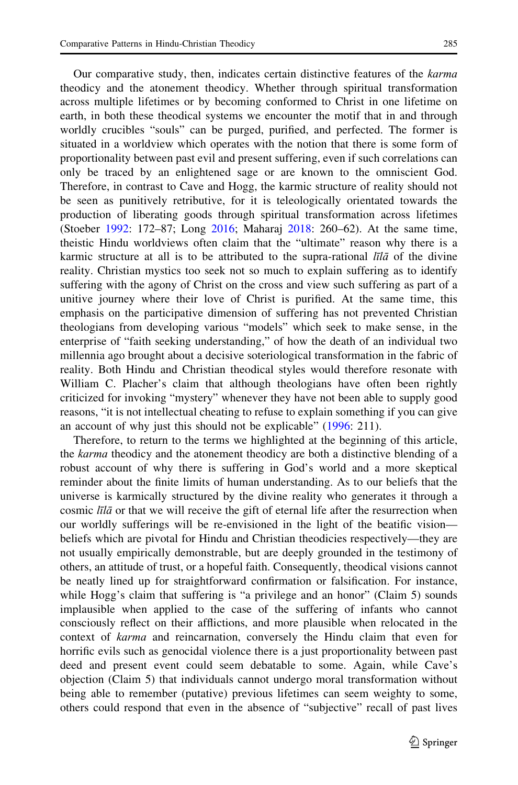Our comparative study, then, indicates certain distinctive features of the karma theodicy and the atonement theodicy. Whether through spiritual transformation across multiple lifetimes or by becoming conformed to Christ in one lifetime on earth, in both these theodical systems we encounter the motif that in and through worldly crucibles "souls" can be purged, purified, and perfected. The former is situated in a worldview which operates with the notion that there is some form of proportionality between past evil and present suffering, even if such correlations can only be traced by an enlightened sage or are known to the omniscient God. Therefore, in contrast to Cave and Hogg, the karmic structure of reality should not be seen as punitively retributive, for it is teleologically orientated towards the production of liberating goods through spiritual transformation across lifetimes (Stoeber [1992](#page-29-0): 172–87; Long [2016](#page-28-0); Maharaj [2018](#page-28-0): 260–62). At the same time, theistic Hindu worldviews often claim that the "ultimate" reason why there is a karmic structure at all is to be attributed to the supra-rational  $\ell \bar{\ell}$  and of the divine reality. Christian mystics too seek not so much to explain suffering as to identify suffering with the agony of Christ on the cross and view such suffering as part of a unitive journey where their love of Christ is purified. At the same time, this emphasis on the participative dimension of suffering has not prevented Christian theologians from developing various "models" which seek to make sense, in the enterprise of "faith seeking understanding," of how the death of an individual two millennia ago brought about a decisive soteriological transformation in the fabric of reality. Both Hindu and Christian theodical styles would therefore resonate with William C. Placher's claim that although theologians have often been rightly criticized for invoking "mystery" whenever they have not been able to supply good reasons, "it is not intellectual cheating to refuse to explain something if you can give an account of why just this should not be explicable" [\(1996](#page-28-0): 211).

Therefore, to return to the terms we highlighted at the beginning of this article, the karma theodicy and the atonement theodicy are both a distinctive blending of a robust account of why there is suffering in God's world and a more skeptical reminder about the finite limits of human understanding. As to our beliefs that the universe is karmically structured by the divine reality who generates it through a cosmic  $\overline{h}l\overline{a}$  or that we will receive the gift of eternal life after the resurrection when our worldly sufferings will be re-envisioned in the light of the beatific vision beliefs which are pivotal for Hindu and Christian theodicies respectively—they are not usually empirically demonstrable, but are deeply grounded in the testimony of others, an attitude of trust, or a hopeful faith. Consequently, theodical visions cannot be neatly lined up for straightforward confirmation or falsification. For instance, while Hogg's claim that suffering is "a privilege and an honor" (Claim 5) sounds implausible when applied to the case of the suffering of infants who cannot consciously reflect on their afflictions, and more plausible when relocated in the context of karma and reincarnation, conversely the Hindu claim that even for horrific evils such as genocidal violence there is a just proportionality between past deed and present event could seem debatable to some. Again, while Cave's objection (Claim 5) that individuals cannot undergo moral transformation without being able to remember (putative) previous lifetimes can seem weighty to some, others could respond that even in the absence of "subjective" recall of past lives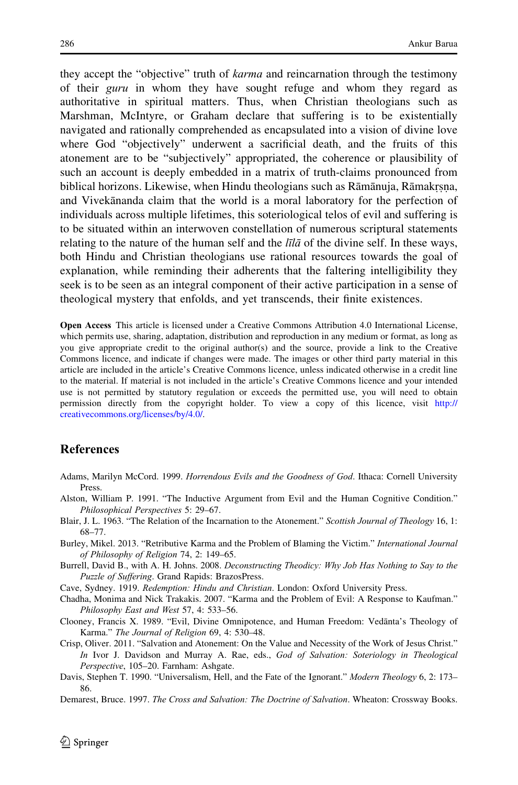<span id="page-27-0"></span>they accept the "objective" truth of *karma* and reincarnation through the testimony of their guru in whom they have sought refuge and whom they regard as authoritative in spiritual matters. Thus, when Christian theologians such as Marshman, McIntyre, or Graham declare that suffering is to be existentially navigated and rationally comprehended as encapsulated into a vision of divine love where God "objectively" underwent a sacrificial death, and the fruits of this atonement are to be "subjectively" appropriated, the coherence or plausibility of such an account is deeply embedded in a matrix of truth-claims pronounced from biblical horizons. Likewise, when Hindu theologians such as Rāmānuja, Rāmakrṣṇa,<br>and Vivekānanda claim that the world is a moral laboratory for the perfection of **EXAME LEGENDE CONSUMERTIES**, NEGRETING INTERFERING INTERFERING TO THE INTERFERING TO THE UPPER CONSUMING THE PERFECTION OF THE PERFECTION OF THE PERFECTION OF THE PERFECTION OF THE PERFECTION individuals across multiple lifetimes, this soteriological telos of evil and suffering is to be situated within an interwoven constellation of numerous scriptural statements relating to the nature of the human self and the  $\bar{t}$  and the divine self. In these ways, both Hindu and Christian theologians use rational resources towards the goal of explanation, while reminding their adherents that the faltering intelligibility they seek is to be seen as an integral component of their active participation in a sense of theological mystery that enfolds, and yet transcends, their finite existences.

Open Access This article is licensed under a Creative Commons Attribution 4.0 International License, which permits use, sharing, adaptation, distribution and reproduction in any medium or format, as long as you give appropriate credit to the original author(s) and the source, provide a link to the Creative Commons licence, and indicate if changes were made. The images or other third party material in this article are included in the article's Creative Commons licence, unless indicated otherwise in a credit line to the material. If material is not included in the article's Creative Commons licence and your intended use is not permitted by statutory regulation or exceeds the permitted use, you will need to obtain permission directly from the copyright holder. To view a copy of this licence, visit [http://](http://creativecommons.org/licenses/by/4.0/) [creativecommons.org/licenses/by/4.0/.](http://creativecommons.org/licenses/by/4.0/)

### References

- Adams, Marilyn McCord. 1999. Horrendous Evils and the Goodness of God. Ithaca: Cornell University Press.
- Alston, William P. 1991. "The Inductive Argument from Evil and the Human Cognitive Condition." Philosophical Perspectives 5: 29–67.
- Blair, J. L. 1963. "The Relation of the Incarnation to the Atonement." Scottish Journal of Theology 16, 1: 68–77.
- Burley, Mikel. 2013. "Retributive Karma and the Problem of Blaming the Victim." International Journal of Philosophy of Religion 74, 2: 149–65.
- Burrell, David B., with A. H. Johns. 2008. Deconstructing Theodicy: Why Job Has Nothing to Say to the Puzzle of Suffering. Grand Rapids: BrazosPress.
- Cave, Sydney. 1919. Redemption: Hindu and Christian. London: Oxford University Press.
- Chadha, Monima and Nick Trakakis. 2007. "Karma and the Problem of Evil: A Response to Kaufman." Philosophy East and West 57, 4: 533–56.
- Clooney, Francis X. 1989. "Evil, Divine Omnipotence, and Human Freedom: Vedanta's Theology of Karma." The Journal of Religion 69, 4: 530–48.
- Crisp, Oliver. 2011. "Salvation and Atonement: On the Value and Necessity of the Work of Jesus Christ." In Ivor J. Davidson and Murray A. Rae, eds., God of Salvation: Soteriology in Theological Perspective, 105–20. Farnham: Ashgate.
- Davis, Stephen T. 1990. "Universalism, Hell, and the Fate of the Ignorant." Modern Theology 6, 2: 173– 86.
- Demarest, Bruce. 1997. The Cross and Salvation: The Doctrine of Salvation. Wheaton: Crossway Books.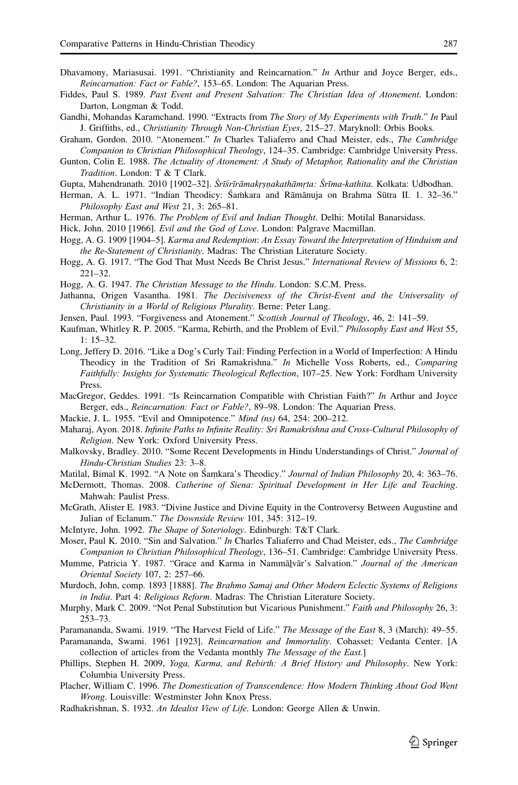- <span id="page-28-0"></span>Dhavamony, Mariasusai. 1991. "Christianity and Reincarnation." In Arthur and Joyce Berger, eds., Reincarnation: Fact or Fable?, 153–65. London: The Aquarian Press.
- Fiddes, Paul S. 1989. Past Event and Present Salvation: The Christian Idea of Atonement. London: Darton, Longman & Todd.
- Gandhi, Mohandas Karamchand. 1990. "Extracts from The Story of My Experiments with Truth." In Paul J. Griffiths, ed., Christianity Through Non-Christian Eyes, 215–27. Maryknoll: Orbis Books.
- Graham, Gordon. 2010. "Atonement." In Charles Taliaferro and Chad Meister, eds., The Cambridge Companion to Christian Philosophical Theology, 124–35. Cambridge: Cambridge University Press.
- Gunton, Colin E. 1988. The Actuality of Atonement: A Study of Metaphor, Rationality and the Christian Tradition. London: T & T Clark.
- Gupta, Mahendranath. 2010 [1902-32]. Śrīśrīrāmakrṣṇakathāmṛta: Śrīma-kathita. Kolkata: Udbodhan.
- Herman, A. L. 1971. "Indian Theodicy: Samkara and Rāmānuja on Brahma Sūtra II. 1. 32–36." Philosophy East and West 21, 3: 265–81.
- Herman, Arthur L. 1976. The Problem of Evil and Indian Thought. Delhi: Motilal Banarsidass.

Hick, John. 2010 [1966]. Evil and the God of Love. London: Palgrave Macmillan.

- Hogg, A. G. 1909 [1904–5]. Karma and Redemption: An Essay Toward the Interpretation of Hinduism and the Re-Statement of Christianity. Madras: The Christian Literature Society.
- Hogg, A. G. 1917. "The God That Must Needs Be Christ Jesus." International Review of Missions 6, 2: 221–32.
- Hogg, A. G. 1947. The Christian Message to the Hindu. London: S.C.M. Press.
- Jathanna, Origen Vasantha. 1981. The Decisiveness of the Christ-Event and the Universality of Christianity in a World of Religious Plurality. Berne: Peter Lang.
- Jensen, Paul. 1993. "Forgiveness and Atonement." Scottish Journal of Theology, 46, 2: 141-59.
- Kaufman, Whitley R. P. 2005. "Karma, Rebirth, and the Problem of Evil." Philosophy East and West 55, 1: 15–32.
- Long, Jeffery D. 2016. "Like a Dog's Curly Tail: Finding Perfection in a World of Imperfection: A Hindu Theodicy in the Tradition of Sri Ramakrishna." In Michelle Voss Roberts, ed., Comparing Faithfully: Insights for Systematic Theological Reflection, 107–25. New York: Fordham University Press.
- MacGregor, Geddes. 1991. "Is Reincarnation Compatible with Christian Faith?" In Arthur and Joyce Berger, eds., Reincarnation: Fact or Fable?, 89–98. London: The Aquarian Press.
- Mackie, J. L. 1955. "Evil and Omnipotence." Mind (ns) 64, 254: 200–212.
- Maharaj, Ayon. 2018. Infinite Paths to Infinite Reality: Sri Ramakrishna and Cross-Cultural Philosophy of Religion. New York: Oxford University Press.
- Malkovsky, Bradley. 2010. "Some Recent Developments in Hindu Understandings of Christ." Journal of Hindu-Christian Studies 23: 3–8.
- Matilal, Bimal K. 1992. "A Note on Śamkara's Theodicy." Journal of Indian Philosophy 20, 4: 363-76.
- ˙ McDermott, Thomas. 2008. Catherine of Siena: Spiritual Development in Her Life and Teaching. Mahwah: Paulist Press.
- McGrath, Alister E. 1983. "Divine Justice and Divine Equity in the Controversy Between Augustine and Julian of Eclanum." The Downside Review 101, 345: 312–19.
- McIntyre, John. 1992. The Shape of Soteriology. Edinburgh: T&T Clark.
- Moser, Paul K. 2010. "Sin and Salvation." In Charles Taliaferro and Chad Meister, eds., The Cambridge Companion to Christian Philosophical Theology, 136–51. Cambridge: Cambridge University Press.
- Mumme, Patricia Y. 1987. "Grace and Karma in Nammā<u>l</u>vār's Salvation." *Journal of the American*<br>*Quiantal Social*y 107, 2: 257, 66 Oriental Society 107, 2: 257–66.
- Murdoch, John, comp. 1893 [1888]. The Brahmo Samaj and Other Modern Eclectic Systems of Religions in India. Part 4: Religious Reform. Madras: The Christian Literature Society.
- Murphy, Mark C. 2009. "Not Penal Substitution but Vicarious Punishment." Faith and Philosophy 26, 3: 253–73.
- Paramananda, Swami. 1919. "The Harvest Field of Life." The Message of the East 8, 3 (March): 49–55.

Paramananda, Swami. 1961 [1923]. Reincarnation and Immortality. Cohasset: Vedanta Center. [A collection of articles from the Vedanta monthly The Message of the East.]

- Phillips, Stephen H. 2009, Yoga, Karma, and Rebirth: A Brief History and Philosophy. New York: Columbia University Press.
- Placher, William C. 1996. The Domestication of Transcendence: How Modern Thinking About God Went Wrong. Louisville: Westminster John Knox Press.
- Radhakrishnan, S. 1932. An Idealist View of Life. London: George Allen & Unwin.